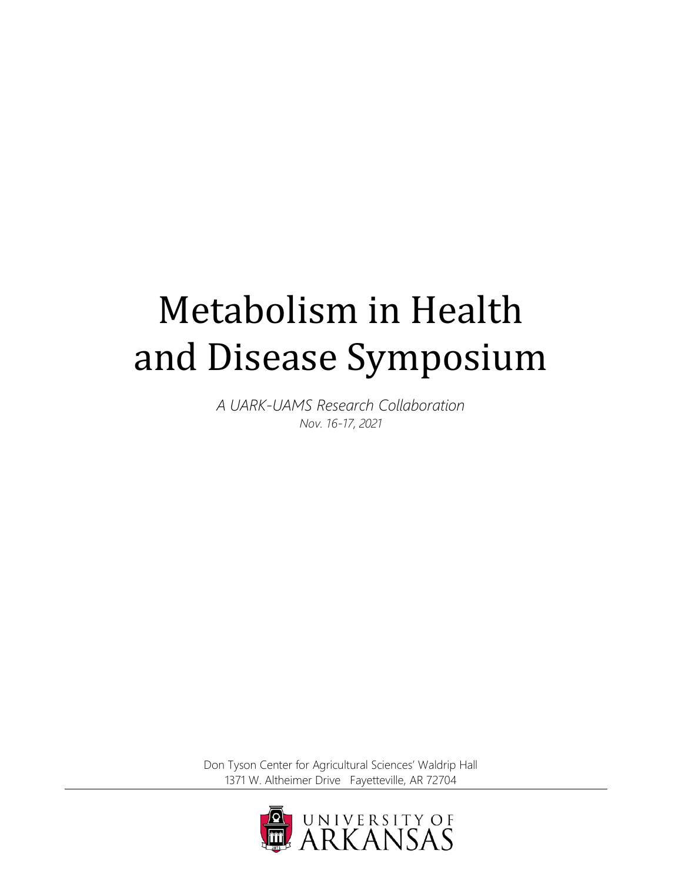# Metabolism in Health and Disease Symposium

*A UARK-UAMS Research Collaboration Nov. 16-17, 2021*

Don Tyson Center for Agricultural Sciences' Waldrip Hall 1371 W. Altheimer Drive Fayetteville, AR 72704

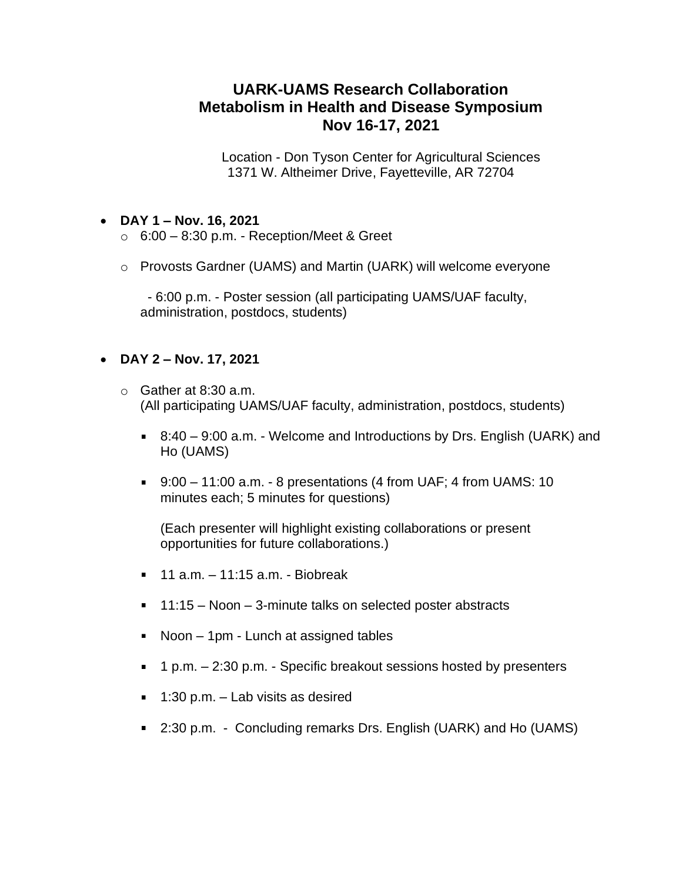# **UARK-UAMS Research Collaboration Metabolism in Health and Disease Symposium Nov 16-17, 2021**

Location - Don Tyson Center for Agricultural Sciences 1371 W. Altheimer Drive, Fayetteville, AR 72704

# • **DAY 1 – Nov. 16, 2021**

- $\circ$  6:00 8:30 p.m. Reception/Meet & Greet
- o Provosts Gardner (UAMS) and Martin (UARK) will welcome everyone

 - 6:00 p.m. - Poster session (all participating UAMS/UAF faculty, administration, postdocs, students)

# • **DAY 2 – Nov. 17, 2021**

- $\circ$  Gather at 8:30 a.m. (All participating UAMS/UAF faculty, administration, postdocs, students)
	- 8:40 9:00 a.m. Welcome and Introductions by Drs. English (UARK) and Ho (UAMS)
	- 9:00 11:00 a.m. 8 presentations (4 from UAF; 4 from UAMS: 10 minutes each; 5 minutes for questions)

(Each presenter will highlight existing collaborations or present opportunities for future collaborations.)

- $11$  a.m.  $-11:15$  a.m. Biobreak
- 11:15 Noon 3-minute talks on selected poster abstracts
- Noon 1pm Lunch at assigned tables  $\mathbf{m}$  .
- 1 p.m. 2:30 p.m. Specific breakout sessions hosted by presenters
- $\blacksquare$  1:30 p.m. Lab visits as desired
- 2:30 p.m. Concluding remarks Drs. English (UARK) and Ho (UAMS)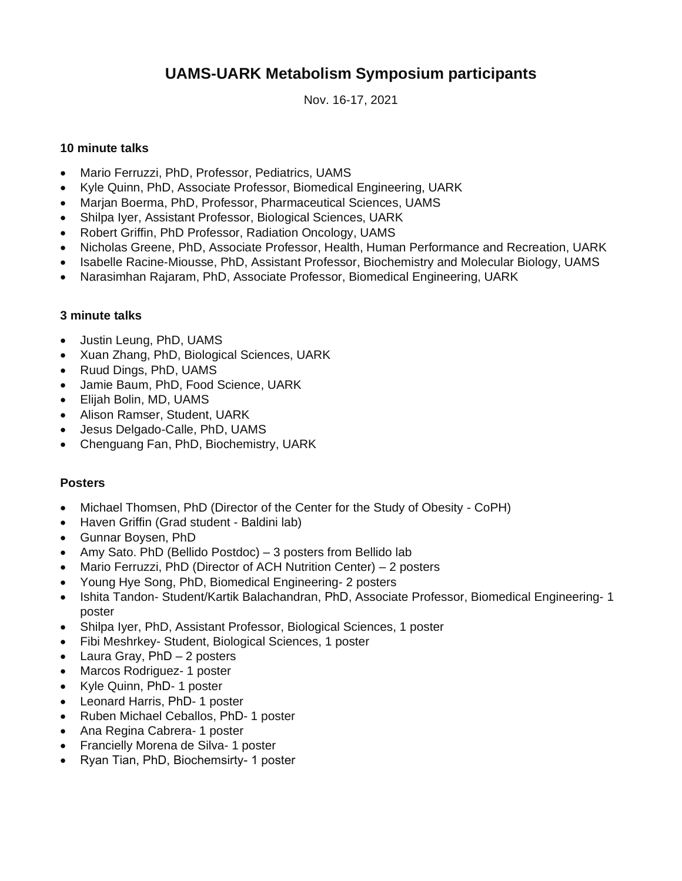# **UAMS-UARK Metabolism Symposium participants**

Nov. 16-17, 2021

# **10 minute talks**

- Mario Ferruzzi, PhD, Professor, Pediatrics, UAMS
- Kyle Quinn, PhD, Associate Professor, Biomedical Engineering, UARK
- Marjan Boerma, PhD, Professor, Pharmaceutical Sciences, UAMS
- Shilpa Iyer, Assistant Professor, Biological Sciences, UARK
- Robert Griffin, PhD Professor, Radiation Oncology, UAMS
- Nicholas Greene, PhD, Associate Professor, Health, Human Performance and Recreation, UARK
- Isabelle Racine-Miousse, PhD, Assistant Professor, Biochemistry and Molecular Biology, UAMS
- Narasimhan Rajaram, PhD, Associate Professor, Biomedical Engineering, UARK

# **3 minute talks**

- Justin Leung, PhD, UAMS
- Xuan Zhang, PhD, Biological Sciences, UARK
- Ruud Dings, PhD, UAMS
- Jamie Baum, PhD, Food Science, UARK
- Elijah Bolin, MD, UAMS
- Alison Ramser, Student, UARK
- Jesus Delgado-Calle, PhD, UAMS
- Chenguang Fan, PhD, Biochemistry, UARK

# **Posters**

- Michael Thomsen, PhD (Director of the Center for the Study of Obesity CoPH)
- Haven Griffin (Grad student Baldini lab)
- Gunnar Boysen, PhD
- Amy Sato. PhD (Bellido Postdoc) 3 posters from Bellido lab
- Mario Ferruzzi, PhD (Director of ACH Nutrition Center) 2 posters
- Young Hye Song, PhD, Biomedical Engineering- 2 posters
- Ishita Tandon- Student/Kartik Balachandran, PhD, Associate Professor, Biomedical Engineering- 1 poster
- Shilpa Iyer, PhD, Assistant Professor, Biological Sciences, 1 poster
- Fibi Meshrkey- Student, Biological Sciences, 1 poster
- Laura Gray, PhD 2 posters
- Marcos Rodriguez- 1 poster
- Kyle Quinn, PhD- 1 poster
- Leonard Harris, PhD- 1 poster
- Ruben Michael Ceballos, PhD- 1 poster
- Ana Regina Cabrera- 1 poster
- Francielly Morena de Silva- 1 poster
- Ryan Tian, PhD, Biochemsirty- 1 poster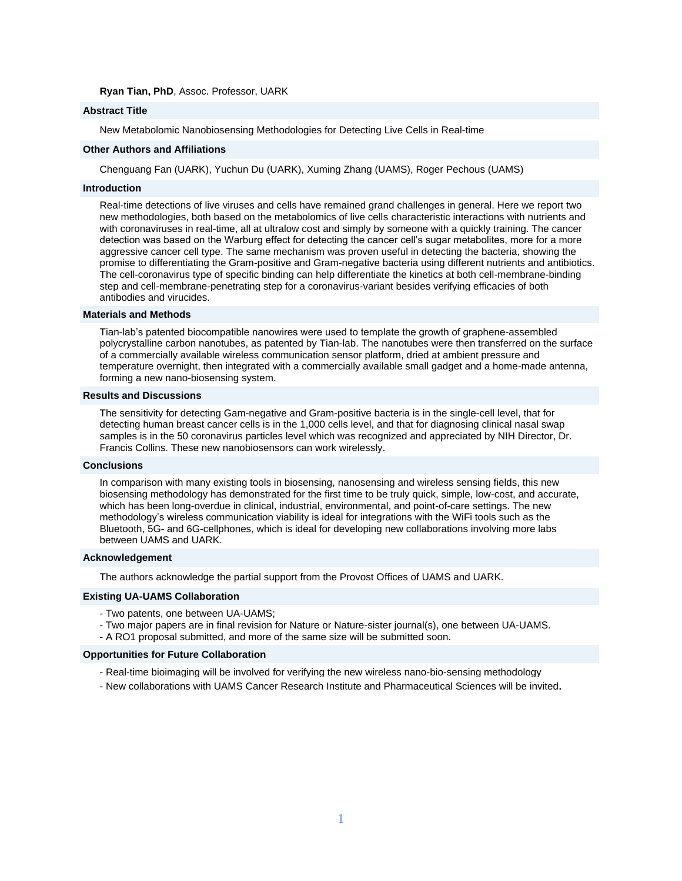#### **Ryan Tian, PhD**, Assoc. Professor, UARK

#### **Abstract Title**

New Metabolomic Nanobiosensing Methodologies for Detecting Live Cells in Real-time

#### **Other Authors and Affiliations**

Chenguang Fan (UARK), Yuchun Du (UARK), Xuming Zhang (UAMS), Roger Pechous (UAMS)

#### **Introduction**

Real-time detections of live viruses and cells have remained grand challenges in general. Here we report two new methodologies, both based on the metabolomics of live cells characteristic interactions with nutrients and with coronaviruses in real-time, all at ultralow cost and simply by someone with a quickly training. The cancer detection was based on the Warburg effect for detecting the cancer cell's sugar metabolites, more for a more aggressive cancer cell type. The same mechanism was proven useful in detecting the bacteria, showing the promise to differentiating the Gram-positive and Gram-negative bacteria using different nutrients and antibiotics. The cell-coronavirus type of specific binding can help differentiate the kinetics at both cell-membrane-binding step and cell-membrane-penetrating step for a coronavirus-variant besides verifying efficacies of both antibodies and virucides.

#### **Materials and Methods**

Tian-lab's patented biocompatible nanowires were used to template the growth of graphene-assembled polycrystalline carbon nanotubes, as patented by Tian-lab. The nanotubes were then transferred on the surface of a commercially available wireless communication sensor platform, dried at ambient pressure and temperature overnight, then integrated with a commercially available small gadget and a home-made antenna, forming a new nano-biosensing system.

#### **Results and Discussions**

The sensitivity for detecting Gam-negative and Gram-positive bacteria is in the single-cell level, that for detecting human breast cancer cells is in the 1,000 cells level, and that for diagnosing clinical nasal swap samples is in the 50 coronavirus particles level which was recognized and appreciated by NIH Director, Dr. Francis Collins. These new nanobiosensors can work wirelessly.

#### **Conclusions**

In comparison with many existing tools in biosensing, nanosensing and wireless sensing fields, this new biosensing methodology has demonstrated for the first time to be truly quick, simple, low-cost, and accurate, which has been long-overdue in clinical, industrial, environmental, and point-of-care settings. The new methodology's wireless communication viability is ideal for integrations with the WiFi tools such as the Bluetooth, 5G- and 6G-cellphones, which is ideal for developing new collaborations involving more labs between UAMS and UARK.

#### **Acknowledgement**

The authors acknowledge the partial support from the Provost Offices of UAMS and UARK.

#### **Existing UA-UAMS Collaboration**

- Two patents, one between UA-UAMS;
- Two major papers are in final revision for Nature or Nature-sister journal(s), one between UA-UAMS.
- A RO1 proposal submitted, and more of the same size will be submitted soon.

#### **Opportunities for Future Collaboration**

- Real-time bioimaging will be involved for verifying the new wireless nano-bio-sensing methodology
- New collaborations with UAMS Cancer Research Institute and Pharmaceutical Sciences will be invited.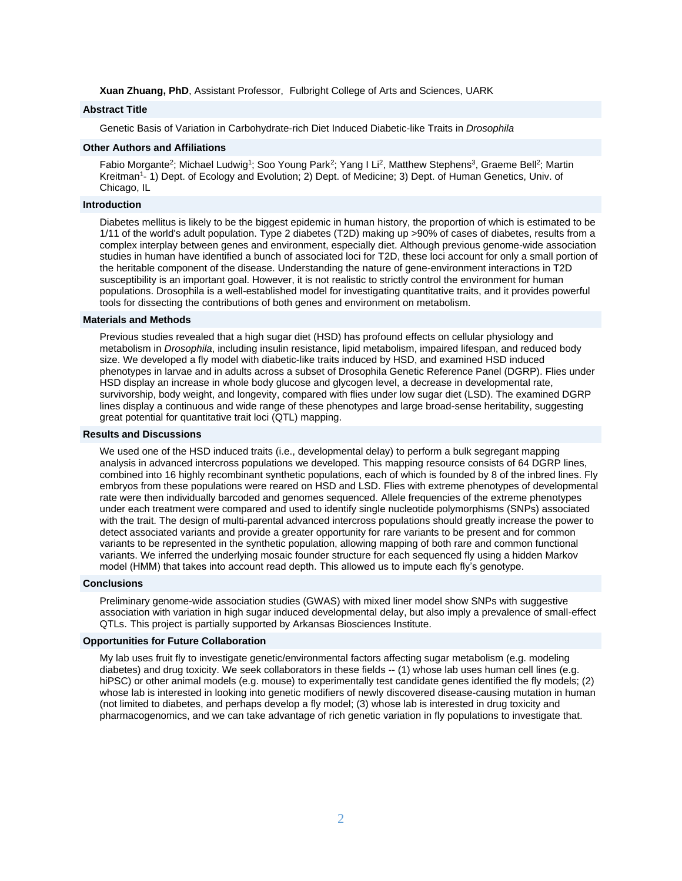**Xuan Zhuang, PhD**, Assistant Professor, Fulbright College of Arts and Sciences, UARK

# **Abstract Title**

Genetic Basis of Variation in Carbohydrate-rich Diet Induced Diabetic-like Traits in *Drosophila*

# **Other Authors and Affiliations**

Fabio Morgante<sup>2</sup>; Michael Ludwig<sup>1</sup>; Soo Young Park<sup>2</sup>; Yang I Li<sup>2</sup>, Matthew Stephens<sup>3</sup>, Graeme Bell<sup>2</sup>; Martin Kreitman<sup>1</sup>- 1) Dept. of Ecology and Evolution; 2) Dept. of Medicine; 3) Dept. of Human Genetics, Univ. of Chicago, IL

#### **Introduction**

Diabetes mellitus is likely to be the biggest epidemic in human history, the proportion of which is estimated to be 1/11 of the world's adult population. Type 2 diabetes (T2D) making up >90% of cases of diabetes, results from a complex interplay between genes and environment, especially diet. Although previous genome-wide association studies in human have identified a bunch of associated loci for T2D, these loci account for only a small portion of the heritable component of the disease. Understanding the nature of gene-environment interactions in T2D susceptibility is an important goal. However, it is not realistic to strictly control the environment for human populations. Drosophila is a well-established model for investigating quantitative traits, and it provides powerful tools for dissecting the contributions of both genes and environment on metabolism.

#### **Materials and Methods**

Previous studies revealed that a high sugar diet (HSD) has profound effects on cellular physiology and metabolism in *Drosophila*, including insulin resistance, lipid metabolism, impaired lifespan, and reduced body size. We developed a fly model with diabetic-like traits induced by HSD, and examined HSD induced phenotypes in larvae and in adults across a subset of Drosophila Genetic Reference Panel (DGRP). Flies under HSD display an increase in whole body glucose and glycogen level, a decrease in developmental rate, survivorship, body weight, and longevity, compared with flies under low sugar diet (LSD). The examined DGRP lines display a continuous and wide range of these phenotypes and large broad-sense heritability, suggesting great potential for quantitative trait loci (QTL) mapping.

#### **Results and Discussions**

We used one of the HSD induced traits (i.e., developmental delay) to perform a bulk segregant mapping analysis in advanced intercross populations we developed. This mapping resource consists of 64 DGRP lines, combined into 16 highly recombinant synthetic populations, each of which is founded by 8 of the inbred lines. Fly embryos from these populations were reared on HSD and LSD. Flies with extreme phenotypes of developmental rate were then individually barcoded and genomes sequenced. Allele frequencies of the extreme phenotypes under each treatment were compared and used to identify single nucleotide polymorphisms (SNPs) associated with the trait. The design of multi-parental advanced intercross populations should greatly increase the power to detect associated variants and provide a greater opportunity for rare variants to be present and for common variants to be represented in the synthetic population, allowing mapping of both rare and common functional variants. We inferred the underlying mosaic founder structure for each sequenced fly using a hidden Markov model (HMM) that takes into account read depth. This allowed us to impute each fly's genotype.

#### **Conclusions**

Preliminary genome-wide association studies (GWAS) with mixed liner model show SNPs with suggestive association with variation in high sugar induced developmental delay, but also imply a prevalence of small-effect QTLs. This project is partially supported by Arkansas Biosciences Institute.

# **Opportunities for Future Collaboration**

My lab uses fruit fly to investigate genetic/environmental factors affecting sugar metabolism (e.g. modeling diabetes) and drug toxicity. We seek collaborators in these fields -- (1) whose lab uses human cell lines (e.g. hiPSC) or other animal models (e.g. mouse) to experimentally test candidate genes identified the fly models; (2) whose lab is interested in looking into genetic modifiers of newly discovered disease-causing mutation in human (not limited to diabetes, and perhaps develop a fly model; (3) whose lab is interested in drug toxicity and pharmacogenomics, and we can take advantage of rich genetic variation in fly populations to investigate that.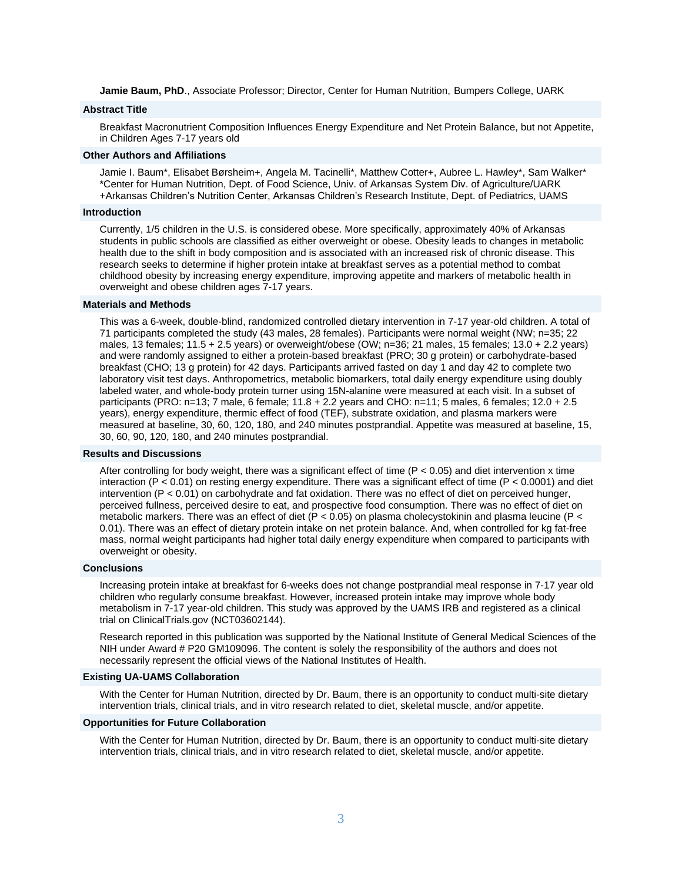**Jamie Baum, PhD**., Associate Professor; Director, Center for Human Nutrition, Bumpers College, UARK

## **Abstract Title**

Breakfast Macronutrient Composition Influences Energy Expenditure and Net Protein Balance, but not Appetite, in Children Ages 7-17 years old

#### **Other Authors and Affiliations**

Jamie I. Baum\*, Elisabet Børsheim+, Angela M. Tacinelli\*, Matthew Cotter+, Aubree L. Hawley\*, Sam Walker\* \*Center for Human Nutrition, Dept. of Food Science, Univ. of Arkansas System Div. of Agriculture/UARK +Arkansas Children's Nutrition Center, Arkansas Children's Research Institute, Dept. of Pediatrics, UAMS

#### **Introduction**

Currently, 1/5 children in the U.S. is considered obese. More specifically, approximately 40% of Arkansas students in public schools are classified as either overweight or obese. Obesity leads to changes in metabolic health due to the shift in body composition and is associated with an increased risk of chronic disease. This research seeks to determine if higher protein intake at breakfast serves as a potential method to combat childhood obesity by increasing energy expenditure, improving appetite and markers of metabolic health in overweight and obese children ages 7-17 years.

#### **Materials and Methods**

This was a 6-week, double-blind, randomized controlled dietary intervention in 7-17 year-old children. A total of 71 participants completed the study (43 males, 28 females). Participants were normal weight (NW; n=35; 22 males, 13 females; 11.5 + 2.5 years) or overweight/obese (OW; n=36; 21 males, 15 females; 13.0 + 2.2 years) and were randomly assigned to either a protein-based breakfast (PRO; 30 g protein) or carbohydrate-based breakfast (CHO; 13 g protein) for 42 days. Participants arrived fasted on day 1 and day 42 to complete two laboratory visit test days. Anthropometrics, metabolic biomarkers, total daily energy expenditure using doubly labeled water, and whole-body protein turner using 15N-alanine were measured at each visit. In a subset of participants (PRO: n=13; 7 male, 6 female; 11.8 + 2.2 years and CHO: n=11; 5 males, 6 females; 12.0 + 2.5 years), energy expenditure, thermic effect of food (TEF), substrate oxidation, and plasma markers were measured at baseline, 30, 60, 120, 180, and 240 minutes postprandial. Appetite was measured at baseline, 15, 30, 60, 90, 120, 180, and 240 minutes postprandial.

#### **Results and Discussions**

After controlling for body weight, there was a significant effect of time (P < 0.05) and diet intervention x time interaction (P  $< 0.01$ ) on resting energy expenditure. There was a significant effect of time (P  $< 0.0001$ ) and diet intervention (P < 0.01) on carbohydrate and fat oxidation. There was no effect of diet on perceived hunger, perceived fullness, perceived desire to eat, and prospective food consumption. There was no effect of diet on metabolic markers. There was an effect of diet (P < 0.05) on plasma cholecystokinin and plasma leucine (P < 0.01). There was an effect of dietary protein intake on net protein balance. And, when controlled for kg fat-free mass, normal weight participants had higher total daily energy expenditure when compared to participants with overweight or obesity.

#### **Conclusions**

Increasing protein intake at breakfast for 6-weeks does not change postprandial meal response in 7-17 year old children who regularly consume breakfast. However, increased protein intake may improve whole body metabolism in 7-17 year-old children. This study was approved by the UAMS IRB and registered as a clinical trial on ClinicalTrials.gov (NCT03602144).

Research reported in this publication was supported by the National Institute of General Medical Sciences of the NIH under Award # P20 GM109096. The content is solely the responsibility of the authors and does not necessarily represent the official views of the National Institutes of Health.

#### **Existing UA-UAMS Collaboration**

With the Center for Human Nutrition, directed by Dr. Baum, there is an opportunity to conduct multi-site dietary intervention trials, clinical trials, and in vitro research related to diet, skeletal muscle, and/or appetite.

#### **Opportunities for Future Collaboration**

With the Center for Human Nutrition, directed by Dr. Baum, there is an opportunity to conduct multi-site dietary intervention trials, clinical trials, and in vitro research related to diet, skeletal muscle, and/or appetite.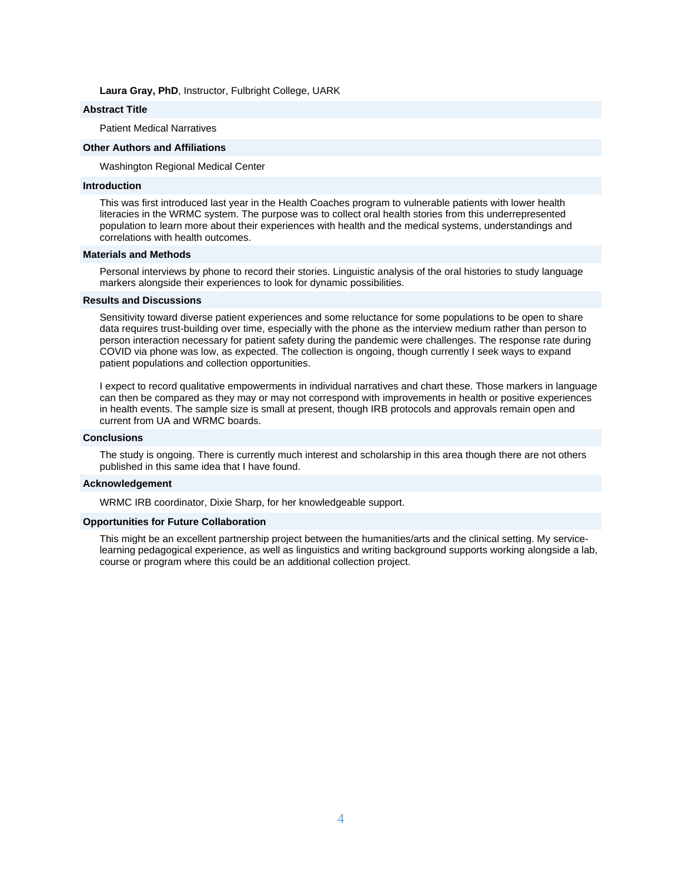#### **Laura Gray, PhD**, Instructor, Fulbright College, UARK

# **Abstract Title**

Patient Medical Narratives

# **Other Authors and Affiliations**

Washington Regional Medical Center

#### **Introduction**

This was first introduced last year in the Health Coaches program to vulnerable patients with lower health literacies in the WRMC system. The purpose was to collect oral health stories from this underrepresented population to learn more about their experiences with health and the medical systems, understandings and correlations with health outcomes.

#### **Materials and Methods**

Personal interviews by phone to record their stories. Linguistic analysis of the oral histories to study language markers alongside their experiences to look for dynamic possibilities.

## **Results and Discussions**

Sensitivity toward diverse patient experiences and some reluctance for some populations to be open to share data requires trust-building over time, especially with the phone as the interview medium rather than person to person interaction necessary for patient safety during the pandemic were challenges. The response rate during COVID via phone was low, as expected. The collection is ongoing, though currently I seek ways to expand patient populations and collection opportunities.

I expect to record qualitative empowerments in individual narratives and chart these. Those markers in language can then be compared as they may or may not correspond with improvements in health or positive experiences in health events. The sample size is small at present, though IRB protocols and approvals remain open and current from UA and WRMC boards.

## **Conclusions**

The study is ongoing. There is currently much interest and scholarship in this area though there are not others published in this same idea that I have found.

#### **Acknowledgement**

WRMC IRB coordinator, Dixie Sharp, for her knowledgeable support.

#### **Opportunities for Future Collaboration**

This might be an excellent partnership project between the humanities/arts and the clinical setting. My servicelearning pedagogical experience, as well as linguistics and writing background supports working alongside a lab, course or program where this could be an additional collection project.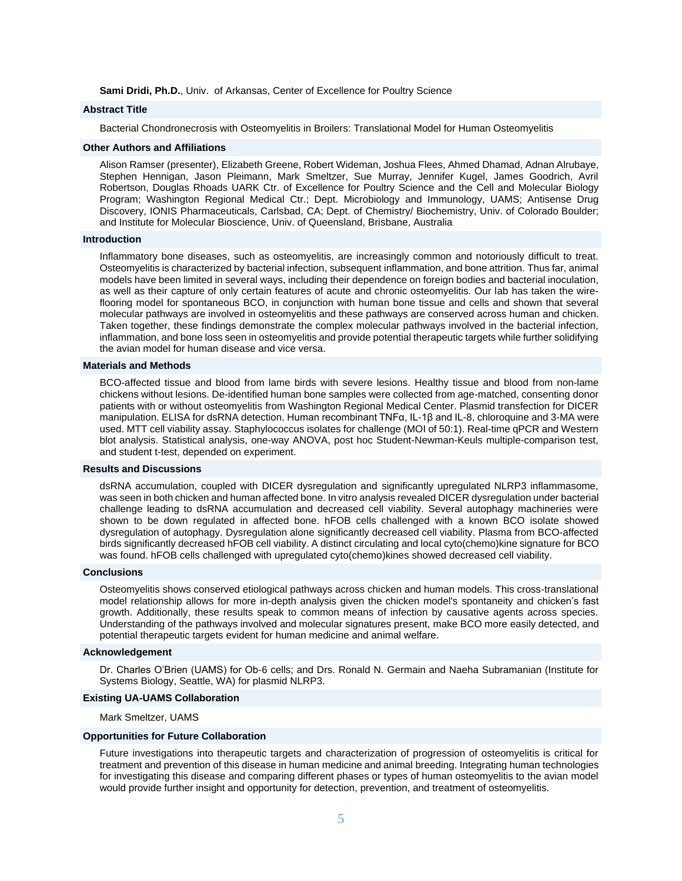**Sami Dridi, Ph.D.**, Univ. of Arkansas, Center of Excellence for Poultry Science

# **Abstract Title**

Bacterial Chondronecrosis with Osteomyelitis in Broilers: Translational Model for Human Osteomyelitis

#### **Other Authors and Affiliations**

Alison Ramser (presenter), Elizabeth Greene, Robert Wideman, Joshua Flees, Ahmed Dhamad, Adnan Alrubaye, Stephen Hennigan, Jason Pleimann, Mark Smeltzer, Sue Murray, Jennifer Kugel, James Goodrich, Avril Robertson, Douglas Rhoads UARK Ctr. of Excellence for Poultry Science and the Cell and Molecular Biology Program; Washington Regional Medical Ctr.; Dept. Microbiology and Immunology, UAMS; Antisense Drug Discovery, IONIS Pharmaceuticals, Carlsbad, CA; Dept. of Chemistry/ Biochemistry, Univ. of Colorado Boulder; and Institute for Molecular Bioscience, Univ. of Queensland, Brisbane, Australia

#### **Introduction**

Inflammatory bone diseases, such as osteomyelitis, are increasingly common and notoriously difficult to treat. Osteomyelitis is characterized by bacterial infection, subsequent inflammation, and bone attrition. Thus far, animal models have been limited in several ways, including their dependence on foreign bodies and bacterial inoculation, as well as their capture of only certain features of acute and chronic osteomyelitis. Our lab has taken the wireflooring model for spontaneous BCO, in conjunction with human bone tissue and cells and shown that several molecular pathways are involved in osteomyelitis and these pathways are conserved across human and chicken. Taken together, these findings demonstrate the complex molecular pathways involved in the bacterial infection, inflammation, and bone loss seen in osteomyelitis and provide potential therapeutic targets while further solidifying the avian model for human disease and vice versa.

#### **Materials and Methods**

BCO-affected tissue and blood from lame birds with severe lesions. Healthy tissue and blood from non-lame chickens without lesions. De-identified human bone samples were collected from age-matched, consenting donor patients with or without osteomyelitis from Washington Regional Medical Center. Plasmid transfection for DICER manipulation. ELISA for dsRNA detection. Human recombinant TNFα, IL-1β and IL-8, chloroquine and 3-MA were used. MTT cell viability assay. Staphylococcus isolates for challenge (MOI of 50:1). Real-time qPCR and Western blot analysis. Statistical analysis, one-way ANOVA, post hoc Student-Newman-Keuls multiple-comparison test, and student t-test, depended on experiment.

#### **Results and Discussions**

dsRNA accumulation, coupled with DICER dysregulation and significantly upregulated NLRP3 inflammasome, was seen in both chicken and human affected bone. In vitro analysis revealed DICER dysregulation under bacterial challenge leading to dsRNA accumulation and decreased cell viability. Several autophagy machineries were shown to be down regulated in affected bone. hFOB cells challenged with a known BCO isolate showed dysregulation of autophagy. Dysregulation alone significantly decreased cell viability. Plasma from BCO-affected birds significantly decreased hFOB cell viability. A distinct circulating and local cyto(chemo)kine signature for BCO was found. hFOB cells challenged with upregulated cyto(chemo)kines showed decreased cell viability.

#### **Conclusions**

Osteomyelitis shows conserved etiological pathways across chicken and human models. This cross-translational model relationship allows for more in-depth analysis given the chicken model's spontaneity and chicken's fast growth. Additionally, these results speak to common means of infection by causative agents across species. Understanding of the pathways involved and molecular signatures present, make BCO more easily detected, and potential therapeutic targets evident for human medicine and animal welfare.

#### **Acknowledgement**

Dr. Charles O'Brien (UAMS) for Ob-6 cells; and Drs. Ronald N. Germain and Naeha Subramanian (Institute for Systems Biology, Seattle, WA) for plasmid NLRP3.

#### **Existing UA-UAMS Collaboration**

Mark Smeltzer, UAMS

#### **Opportunities for Future Collaboration**

Future investigations into therapeutic targets and characterization of progression of osteomyelitis is critical for treatment and prevention of this disease in human medicine and animal breeding. Integrating human technologies for investigating this disease and comparing different phases or types of human osteomyelitis to the avian model would provide further insight and opportunity for detection, prevention, and treatment of osteomyelitis.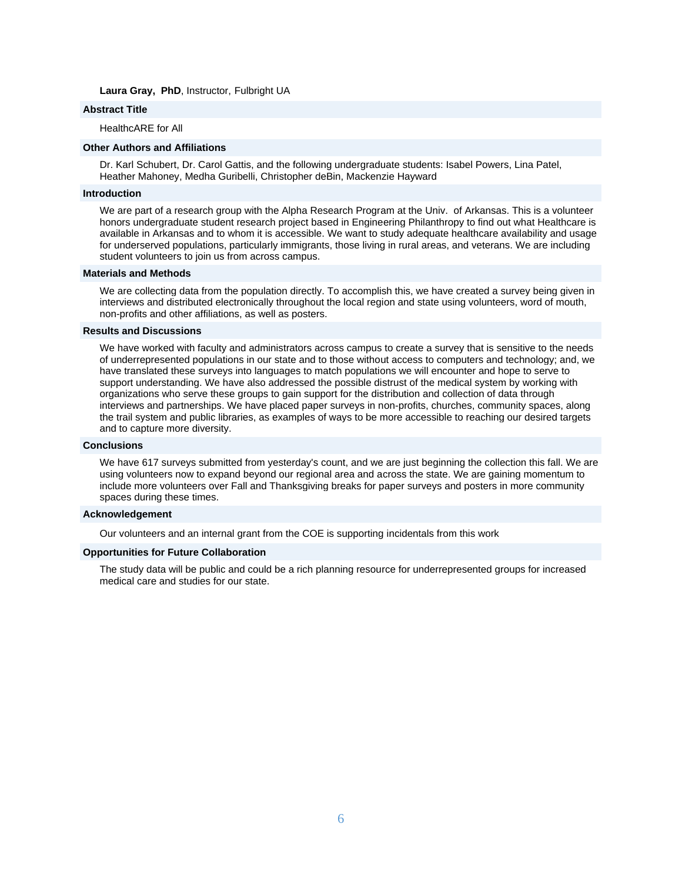**Laura Gray, PhD**, Instructor, Fulbright UA

# **Abstract Title**

HealthcARE for All

# **Other Authors and Affiliations**

Dr. Karl Schubert, Dr. Carol Gattis, and the following undergraduate students: Isabel Powers, Lina Patel, Heather Mahoney, Medha Guribelli, Christopher deBin, Mackenzie Hayward

#### **Introduction**

We are part of a research group with the Alpha Research Program at the Univ. of Arkansas. This is a volunteer honors undergraduate student research project based in Engineering Philanthropy to find out what Healthcare is available in Arkansas and to whom it is accessible. We want to study adequate healthcare availability and usage for underserved populations, particularly immigrants, those living in rural areas, and veterans. We are including student volunteers to join us from across campus.

#### **Materials and Methods**

We are collecting data from the population directly. To accomplish this, we have created a survey being given in interviews and distributed electronically throughout the local region and state using volunteers, word of mouth, non-profits and other affiliations, as well as posters.

#### **Results and Discussions**

We have worked with faculty and administrators across campus to create a survey that is sensitive to the needs of underrepresented populations in our state and to those without access to computers and technology; and, we have translated these surveys into languages to match populations we will encounter and hope to serve to support understanding. We have also addressed the possible distrust of the medical system by working with organizations who serve these groups to gain support for the distribution and collection of data through interviews and partnerships. We have placed paper surveys in non-profits, churches, community spaces, along the trail system and public libraries, as examples of ways to be more accessible to reaching our desired targets and to capture more diversity.

#### **Conclusions**

We have 617 surveys submitted from yesterday's count, and we are just beginning the collection this fall. We are using volunteers now to expand beyond our regional area and across the state. We are gaining momentum to include more volunteers over Fall and Thanksgiving breaks for paper surveys and posters in more community spaces during these times.

#### **Acknowledgement**

Our volunteers and an internal grant from the COE is supporting incidentals from this work

#### **Opportunities for Future Collaboration**

The study data will be public and could be a rich planning resource for underrepresented groups for increased medical care and studies for our state.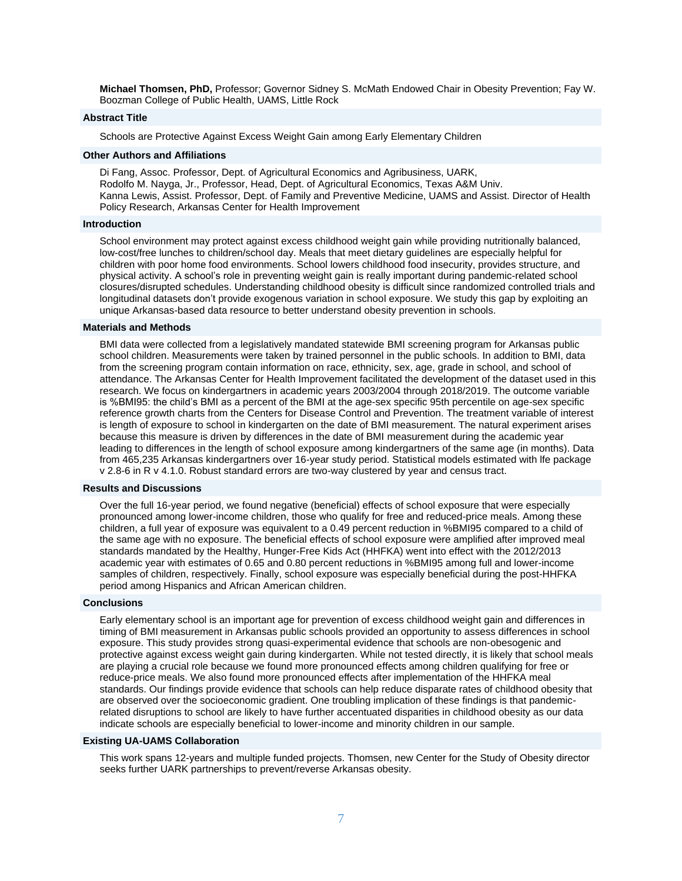**Michael Thomsen, PhD,** Professor; Governor Sidney S. McMath Endowed Chair in Obesity Prevention; Fay W. Boozman College of Public Health, UAMS, Little Rock

#### **Abstract Title**

Schools are Protective Against Excess Weight Gain among Early Elementary Children

#### **Other Authors and Affiliations**

Di Fang, Assoc. Professor, Dept. of Agricultural Economics and Agribusiness, UARK, Rodolfo M. Nayga, Jr., Professor, Head, Dept. of Agricultural Economics, Texas A&M Univ. Kanna Lewis, Assist. Professor, Dept. of Family and Preventive Medicine, UAMS and Assist. Director of Health Policy Research, Arkansas Center for Health Improvement

#### **Introduction**

School environment may protect against excess childhood weight gain while providing nutritionally balanced, low-cost/free lunches to children/school day. Meals that meet dietary guidelines are especially helpful for children with poor home food environments. School lowers childhood food insecurity, provides structure, and physical activity. A school's role in preventing weight gain is really important during pandemic-related school closures/disrupted schedules. Understanding childhood obesity is difficult since randomized controlled trials and longitudinal datasets don't provide exogenous variation in school exposure. We study this gap by exploiting an unique Arkansas-based data resource to better understand obesity prevention in schools.

#### **Materials and Methods**

BMI data were collected from a legislatively mandated statewide BMI screening program for Arkansas public school children. Measurements were taken by trained personnel in the public schools. In addition to BMI, data from the screening program contain information on race, ethnicity, sex, age, grade in school, and school of attendance. The Arkansas Center for Health Improvement facilitated the development of the dataset used in this research. We focus on kindergartners in academic years 2003/2004 through 2018/2019. The outcome variable is %BMI95: the child's BMI as a percent of the BMI at the age-sex specific 95th percentile on age-sex specific reference growth charts from the Centers for Disease Control and Prevention. The treatment variable of interest is length of exposure to school in kindergarten on the date of BMI measurement. The natural experiment arises because this measure is driven by differences in the date of BMI measurement during the academic year leading to differences in the length of school exposure among kindergartners of the same age (in months). Data from 465,235 Arkansas kindergartners over 16-year study period. Statistical models estimated with lfe package v 2.8-6 in R v 4.1.0. Robust standard errors are two-way clustered by year and census tract.

#### **Results and Discussions**

Over the full 16-year period, we found negative (beneficial) effects of school exposure that were especially pronounced among lower-income children, those who qualify for free and reduced-price meals. Among these children, a full year of exposure was equivalent to a 0.49 percent reduction in %BMI95 compared to a child of the same age with no exposure. The beneficial effects of school exposure were amplified after improved meal standards mandated by the Healthy, Hunger-Free Kids Act (HHFKA) went into effect with the 2012/2013 academic year with estimates of 0.65 and 0.80 percent reductions in %BMI95 among full and lower-income samples of children, respectively. Finally, school exposure was especially beneficial during the post-HHFKA period among Hispanics and African American children.

# **Conclusions**

Early elementary school is an important age for prevention of excess childhood weight gain and differences in timing of BMI measurement in Arkansas public schools provided an opportunity to assess differences in school exposure. This study provides strong quasi-experimental evidence that schools are non-obesogenic and protective against excess weight gain during kindergarten. While not tested directly, it is likely that school meals are playing a crucial role because we found more pronounced effects among children qualifying for free or reduce-price meals. We also found more pronounced effects after implementation of the HHFKA meal standards. Our findings provide evidence that schools can help reduce disparate rates of childhood obesity that are observed over the socioeconomic gradient. One troubling implication of these findings is that pandemicrelated disruptions to school are likely to have further accentuated disparities in childhood obesity as our data indicate schools are especially beneficial to lower-income and minority children in our sample.

# **Existing UA-UAMS Collaboration**

This work spans 12-years and multiple funded projects. Thomsen, new Center for the Study of Obesity director seeks further UARK partnerships to prevent/reverse Arkansas obesity.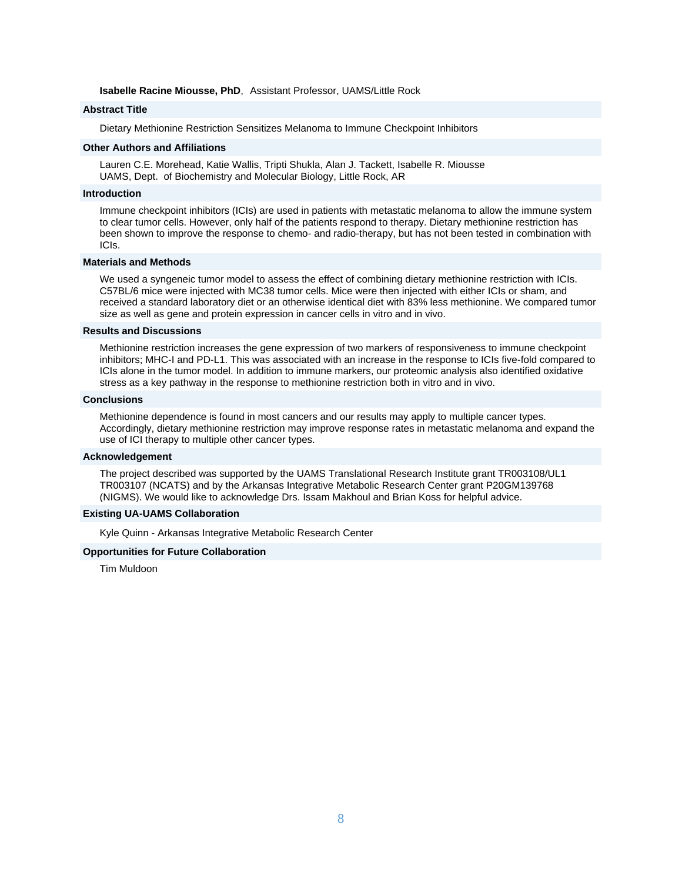#### **Isabelle Racine Miousse, PhD**, Assistant Professor, UAMS/Little Rock

# **Abstract Title**

Dietary Methionine Restriction Sensitizes Melanoma to Immune Checkpoint Inhibitors

#### **Other Authors and Affiliations**

Lauren C.E. Morehead, Katie Wallis, Tripti Shukla, Alan J. Tackett, Isabelle R. Miousse UAMS, Dept. of Biochemistry and Molecular Biology, Little Rock, AR

#### **Introduction**

Immune checkpoint inhibitors (ICIs) are used in patients with metastatic melanoma to allow the immune system to clear tumor cells. However, only half of the patients respond to therapy. Dietary methionine restriction has been shown to improve the response to chemo- and radio-therapy, but has not been tested in combination with ICIs.

# **Materials and Methods**

We used a syngeneic tumor model to assess the effect of combining dietary methionine restriction with ICIs. C57BL/6 mice were injected with MC38 tumor cells. Mice were then injected with either ICIs or sham, and received a standard laboratory diet or an otherwise identical diet with 83% less methionine. We compared tumor size as well as gene and protein expression in cancer cells in vitro and in vivo.

#### **Results and Discussions**

Methionine restriction increases the gene expression of two markers of responsiveness to immune checkpoint inhibitors; MHC-I and PD-L1. This was associated with an increase in the response to ICIs five-fold compared to ICIs alone in the tumor model. In addition to immune markers, our proteomic analysis also identified oxidative stress as a key pathway in the response to methionine restriction both in vitro and in vivo.

#### **Conclusions**

Methionine dependence is found in most cancers and our results may apply to multiple cancer types. Accordingly, dietary methionine restriction may improve response rates in metastatic melanoma and expand the use of ICI therapy to multiple other cancer types.

#### **Acknowledgement**

The project described was supported by the UAMS Translational Research Institute grant TR003108/UL1 TR003107 (NCATS) and by the Arkansas Integrative Metabolic Research Center grant P20GM139768 (NIGMS). We would like to acknowledge Drs. Issam Makhoul and Brian Koss for helpful advice.

#### **Existing UA-UAMS Collaboration**

Kyle Quinn - Arkansas Integrative Metabolic Research Center

#### **Opportunities for Future Collaboration**

Tim Muldoon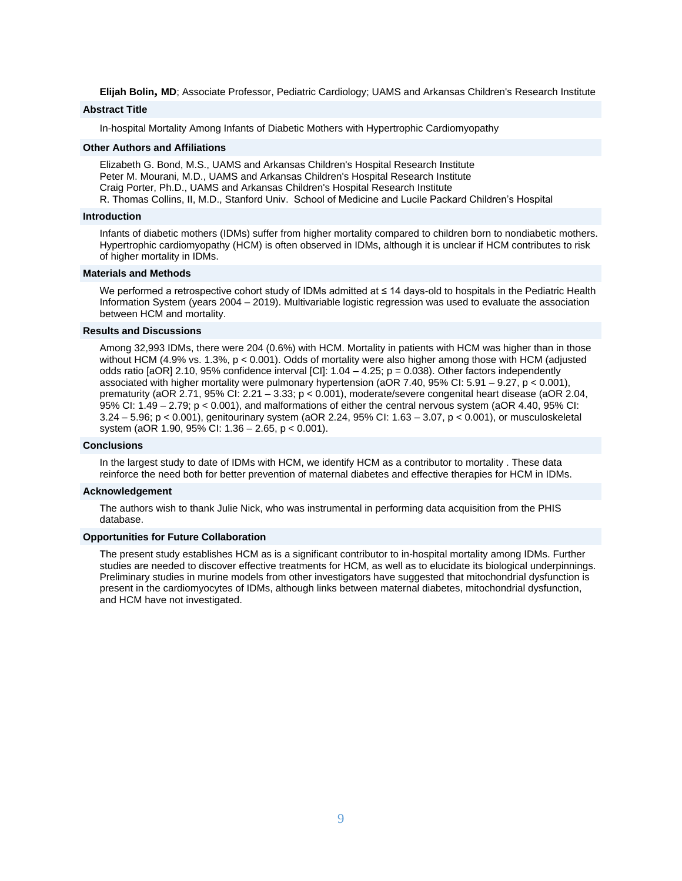**Elijah Bolin, MD**; Associate Professor, Pediatric Cardiology; UAMS and Arkansas Children's Research Institute

# **Abstract Title**

In-hospital Mortality Among Infants of Diabetic Mothers with Hypertrophic Cardiomyopathy

#### **Other Authors and Affiliations**

Elizabeth G. Bond, M.S., UAMS and Arkansas Children's Hospital Research Institute Peter M. Mourani, M.D., UAMS and Arkansas Children's Hospital Research Institute Craig Porter, Ph.D., UAMS and Arkansas Children's Hospital Research Institute R. Thomas Collins, II, M.D., Stanford Univ. School of Medicine and Lucile Packard Children's Hospital

#### **Introduction**

Infants of diabetic mothers (IDMs) suffer from higher mortality compared to children born to nondiabetic mothers. Hypertrophic cardiomyopathy (HCM) is often observed in IDMs, although it is unclear if HCM contributes to risk of higher mortality in IDMs.

#### **Materials and Methods**

We performed a retrospective cohort study of IDMs admitted at ≤ 14 days-old to hospitals in the Pediatric Health Information System (years 2004 – 2019). Multivariable logistic regression was used to evaluate the association between HCM and mortality.

# **Results and Discussions**

Among 32,993 IDMs, there were 204 (0.6%) with HCM. Mortality in patients with HCM was higher than in those without HCM (4.9% vs. 1.3%, p < 0.001). Odds of mortality were also higher among those with HCM (adjusted odds ratio [aOR] 2.10, 95% confidence interval  $\text{[CI]}$ : 1.04 – 4.25; p = 0.038). Other factors independently associated with higher mortality were pulmonary hypertension (aOR 7.40, 95% CI: 5.91 – 9.27, p < 0.001), prematurity (aOR 2.71, 95% CI: 2.21 – 3.33; p < 0.001), moderate/severe congenital heart disease (aOR 2.04, 95% CI: 1.49 – 2.79; p < 0.001), and malformations of either the central nervous system (aOR 4.40, 95% CI: 3.24 – 5.96; p < 0.001), genitourinary system (aOR 2.24, 95% CI: 1.63 – 3.07, p < 0.001), or musculoskeletal system (aOR 1.90, 95% CI: 1.36 – 2.65, p < 0.001).

#### **Conclusions**

In the largest study to date of IDMs with HCM, we identify HCM as a contributor to mortality . These data reinforce the need both for better prevention of maternal diabetes and effective therapies for HCM in IDMs.

#### **Acknowledgement**

The authors wish to thank Julie Nick, who was instrumental in performing data acquisition from the PHIS database.

#### **Opportunities for Future Collaboration**

The present study establishes HCM as is a significant contributor to in-hospital mortality among IDMs. Further studies are needed to discover effective treatments for HCM, as well as to elucidate its biological underpinnings. Preliminary studies in murine models from other investigators have suggested that mitochondrial dysfunction is present in the cardiomyocytes of IDMs, although links between maternal diabetes, mitochondrial dysfunction, and HCM have not investigated.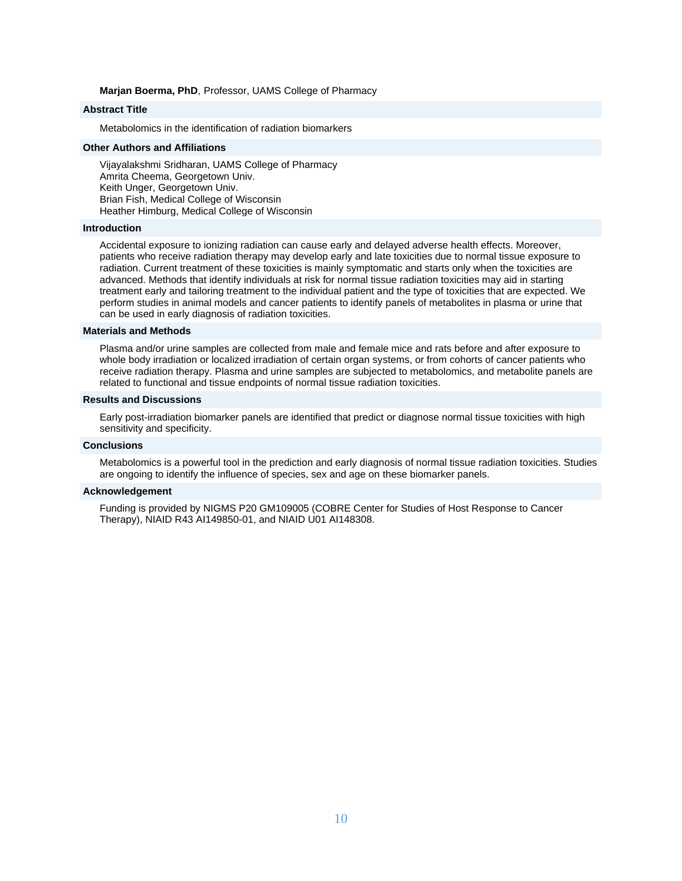#### **Marjan Boerma, PhD**, Professor, UAMS College of Pharmacy

# **Abstract Title**

Metabolomics in the identification of radiation biomarkers

# **Other Authors and Affiliations**

Vijayalakshmi Sridharan, UAMS College of Pharmacy Amrita Cheema, Georgetown Univ. Keith Unger, Georgetown Univ. Brian Fish, Medical College of Wisconsin Heather Himburg, Medical College of Wisconsin

#### **Introduction**

Accidental exposure to ionizing radiation can cause early and delayed adverse health effects. Moreover, patients who receive radiation therapy may develop early and late toxicities due to normal tissue exposure to radiation. Current treatment of these toxicities is mainly symptomatic and starts only when the toxicities are advanced. Methods that identify individuals at risk for normal tissue radiation toxicities may aid in starting treatment early and tailoring treatment to the individual patient and the type of toxicities that are expected. We perform studies in animal models and cancer patients to identify panels of metabolites in plasma or urine that can be used in early diagnosis of radiation toxicities.

#### **Materials and Methods**

Plasma and/or urine samples are collected from male and female mice and rats before and after exposure to whole body irradiation or localized irradiation of certain organ systems, or from cohorts of cancer patients who receive radiation therapy. Plasma and urine samples are subjected to metabolomics, and metabolite panels are related to functional and tissue endpoints of normal tissue radiation toxicities.

#### **Results and Discussions**

Early post-irradiation biomarker panels are identified that predict or diagnose normal tissue toxicities with high sensitivity and specificity.

#### **Conclusions**

Metabolomics is a powerful tool in the prediction and early diagnosis of normal tissue radiation toxicities. Studies are ongoing to identify the influence of species, sex and age on these biomarker panels.

#### **Acknowledgement**

Funding is provided by NIGMS P20 GM109005 (COBRE Center for Studies of Host Response to Cancer Therapy), NIAID R43 AI149850-01, and NIAID U01 AI148308.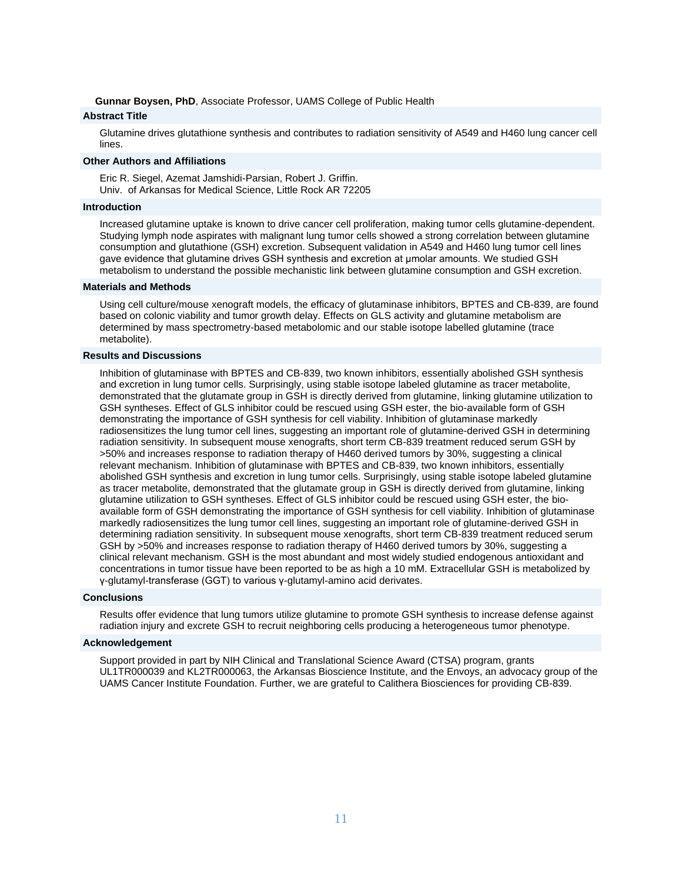**Gunnar Boysen, PhD**, Associate Professor, UAMS College of Public Health

# **Abstract Title**

Glutamine drives glutathione synthesis and contributes to radiation sensitivity of A549 and H460 lung cancer cell lines.

#### **Other Authors and Affiliations**

Eric R. Siegel, Azemat Jamshidi-Parsian, Robert J. Griffin. Univ. of Arkansas for Medical Science, Little Rock AR 72205

## **Introduction**

Increased glutamine uptake is known to drive cancer cell proliferation, making tumor cells glutamine-dependent. Studying lymph node aspirates with malignant lung tumor cells showed a strong correlation between glutamine consumption and glutathione (GSH) excretion. Subsequent validation in A549 and H460 lung tumor cell lines gave evidence that glutamine drives GSH synthesis and excretion at μmolar amounts. We studied GSH metabolism to understand the possible mechanistic link between glutamine consumption and GSH excretion.

# **Materials and Methods**

Using cell culture/mouse xenograft models, the efficacy of glutaminase inhibitors, BPTES and CB-839, are found based on colonic viability and tumor growth delay. Effects on GLS activity and glutamine metabolism are determined by mass spectrometry-based metabolomic and our stable isotope labelled glutamine (trace metabolite).

# **Results and Discussions**

Inhibition of glutaminase with BPTES and CB-839, two known inhibitors, essentially abolished GSH synthesis and excretion in lung tumor cells. Surprisingly, using stable isotope labeled glutamine as tracer metabolite, demonstrated that the glutamate group in GSH is directly derived from glutamine, linking glutamine utilization to GSH syntheses. Effect of GLS inhibitor could be rescued using GSH ester, the bio-available form of GSH demonstrating the importance of GSH synthesis for cell viability. Inhibition of glutaminase markedly radiosensitizes the lung tumor cell lines, suggesting an important role of glutamine-derived GSH in determining radiation sensitivity. In subsequent mouse xenografts, short term CB-839 treatment reduced serum GSH by >50% and increases response to radiation therapy of H460 derived tumors by 30%, suggesting a clinical relevant mechanism. Inhibition of glutaminase with BPTES and CB-839, two known inhibitors, essentially abolished GSH synthesis and excretion in lung tumor cells. Surprisingly, using stable isotope labeled glutamine as tracer metabolite, demonstrated that the glutamate group in GSH is directly derived from glutamine, linking glutamine utilization to GSH syntheses. Effect of GLS inhibitor could be rescued using GSH ester, the bioavailable form of GSH demonstrating the importance of GSH synthesis for cell viability. Inhibition of glutaminase markedly radiosensitizes the lung tumor cell lines, suggesting an important role of glutamine-derived GSH in determining radiation sensitivity. In subsequent mouse xenografts, short term CB-839 treatment reduced serum GSH by >50% and increases response to radiation therapy of H460 derived tumors by 30%, suggesting a clinical relevant mechanism. GSH is the most abundant and most widely studied endogenous antioxidant and concentrations in tumor tissue have been reported to be as high a 10 mM. Extracellular GSH is metabolized by γ-glutamyl-transferase (GGT) to various γ-glutamyl-amino acid derivates.

#### **Conclusions**

Results offer evidence that lung tumors utilize glutamine to promote GSH synthesis to increase defense against radiation injury and excrete GSH to recruit neighboring cells producing a heterogeneous tumor phenotype.

## **Acknowledgement**

Support provided in part by NIH Clinical and Translational Science Award (CTSA) program, grants UL1TR000039 and KL2TR000063, the Arkansas Bioscience Institute, and the Envoys, an advocacy group of the UAMS Cancer Institute Foundation. Further, we are grateful to Calithera Biosciences for providing CB-839.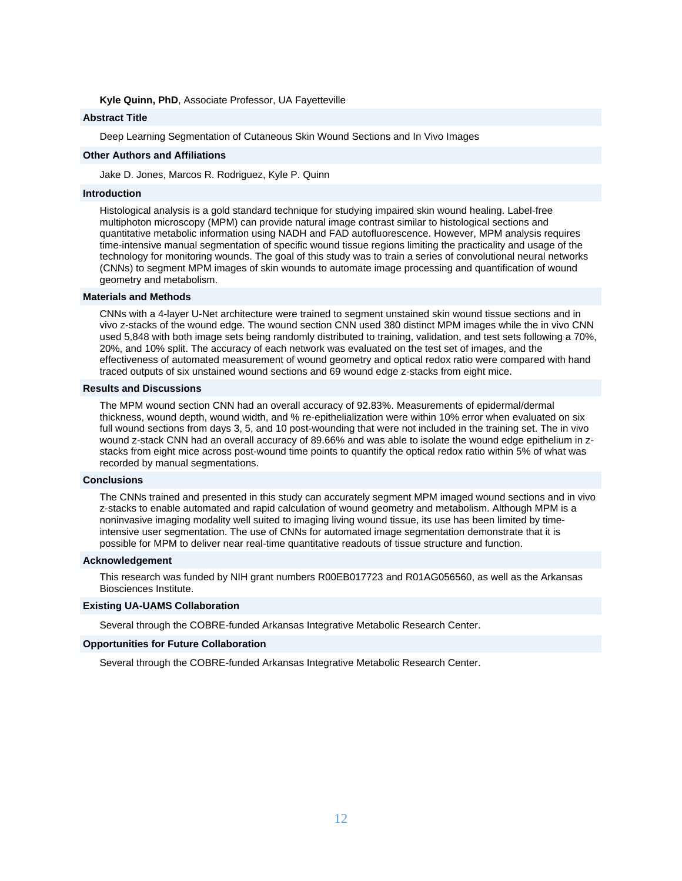#### **Kyle Quinn, PhD**, Associate Professor, UA Fayetteville

#### **Abstract Title**

Deep Learning Segmentation of Cutaneous Skin Wound Sections and In Vivo Images

#### **Other Authors and Affiliations**

Jake D. Jones, Marcos R. Rodriguez, Kyle P. Quinn

#### **Introduction**

Histological analysis is a gold standard technique for studying impaired skin wound healing. Label-free multiphoton microscopy (MPM) can provide natural image contrast similar to histological sections and quantitative metabolic information using NADH and FAD autofluorescence. However, MPM analysis requires time-intensive manual segmentation of specific wound tissue regions limiting the practicality and usage of the technology for monitoring wounds. The goal of this study was to train a series of convolutional neural networks (CNNs) to segment MPM images of skin wounds to automate image processing and quantification of wound geometry and metabolism.

#### **Materials and Methods**

CNNs with a 4-layer U-Net architecture were trained to segment unstained skin wound tissue sections and in vivo z-stacks of the wound edge. The wound section CNN used 380 distinct MPM images while the in vivo CNN used 5,848 with both image sets being randomly distributed to training, validation, and test sets following a 70%, 20%, and 10% split. The accuracy of each network was evaluated on the test set of images, and the effectiveness of automated measurement of wound geometry and optical redox ratio were compared with hand traced outputs of six unstained wound sections and 69 wound edge z-stacks from eight mice.

## **Results and Discussions**

The MPM wound section CNN had an overall accuracy of 92.83%. Measurements of epidermal/dermal thickness, wound depth, wound width, and % re-epithelialization were within 10% error when evaluated on six full wound sections from days 3, 5, and 10 post-wounding that were not included in the training set. The in vivo wound z-stack CNN had an overall accuracy of 89.66% and was able to isolate the wound edge epithelium in zstacks from eight mice across post-wound time points to quantify the optical redox ratio within 5% of what was recorded by manual segmentations.

## **Conclusions**

The CNNs trained and presented in this study can accurately segment MPM imaged wound sections and in vivo z-stacks to enable automated and rapid calculation of wound geometry and metabolism. Although MPM is a noninvasive imaging modality well suited to imaging living wound tissue, its use has been limited by timeintensive user segmentation. The use of CNNs for automated image segmentation demonstrate that it is possible for MPM to deliver near real-time quantitative readouts of tissue structure and function.

#### **Acknowledgement**

This research was funded by NIH grant numbers R00EB017723 and R01AG056560, as well as the Arkansas Biosciences Institute.

#### **Existing UA-UAMS Collaboration**

Several through the COBRE-funded Arkansas Integrative Metabolic Research Center.

## **Opportunities for Future Collaboration**

Several through the COBRE-funded Arkansas Integrative Metabolic Research Center.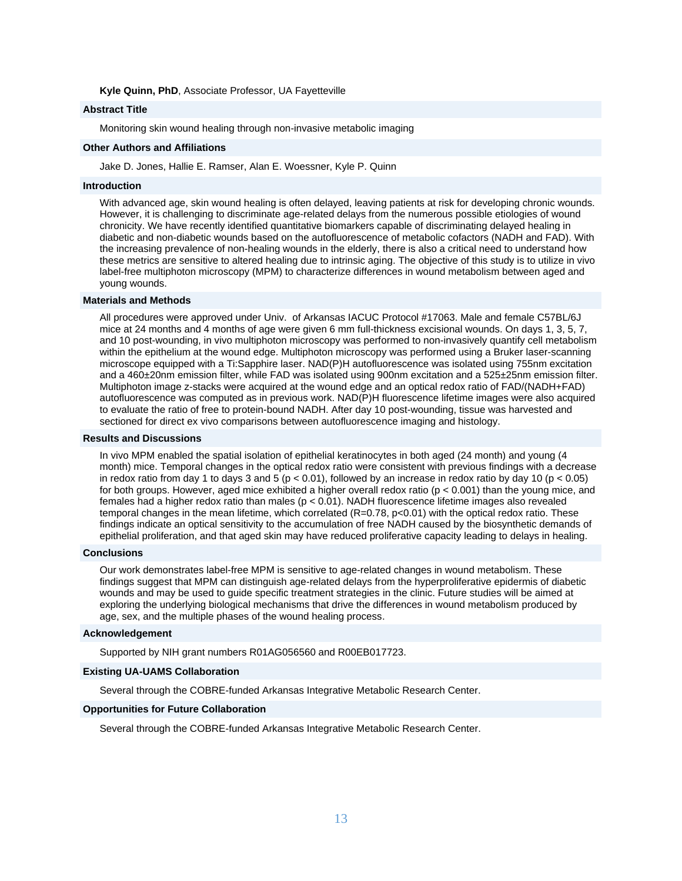**Kyle Quinn, PhD**, Associate Professor, UA Fayetteville

# **Abstract Title**

Monitoring skin wound healing through non-invasive metabolic imaging

## **Other Authors and Affiliations**

Jake D. Jones, Hallie E. Ramser, Alan E. Woessner, Kyle P. Quinn

#### **Introduction**

With advanced age, skin wound healing is often delayed, leaving patients at risk for developing chronic wounds. However, it is challenging to discriminate age-related delays from the numerous possible etiologies of wound chronicity. We have recently identified quantitative biomarkers capable of discriminating delayed healing in diabetic and non-diabetic wounds based on the autofluorescence of metabolic cofactors (NADH and FAD). With the increasing prevalence of non-healing wounds in the elderly, there is also a critical need to understand how these metrics are sensitive to altered healing due to intrinsic aging. The objective of this study is to utilize in vivo label-free multiphoton microscopy (MPM) to characterize differences in wound metabolism between aged and young wounds.

# **Materials and Methods**

All procedures were approved under Univ. of Arkansas IACUC Protocol #17063. Male and female C57BL/6J mice at 24 months and 4 months of age were given 6 mm full-thickness excisional wounds. On days 1, 3, 5, 7, and 10 post-wounding, in vivo multiphoton microscopy was performed to non-invasively quantify cell metabolism within the epithelium at the wound edge. Multiphoton microscopy was performed using a Bruker laser-scanning microscope equipped with a Ti:Sapphire laser. NAD(P)H autofluorescence was isolated using 755nm excitation and a 460±20nm emission filter, while FAD was isolated using 900nm excitation and a 525±25nm emission filter. Multiphoton image z-stacks were acquired at the wound edge and an optical redox ratio of FAD/(NADH+FAD) autofluorescence was computed as in previous work. NAD(P)H fluorescence lifetime images were also acquired to evaluate the ratio of free to protein-bound NADH. After day 10 post-wounding, tissue was harvested and sectioned for direct ex vivo comparisons between autofluorescence imaging and histology.

## **Results and Discussions**

In vivo MPM enabled the spatial isolation of epithelial keratinocytes in both aged (24 month) and young (4 month) mice. Temporal changes in the optical redox ratio were consistent with previous findings with a decrease in redox ratio from day 1 to days 3 and 5 (p < 0.01), followed by an increase in redox ratio by day 10 (p < 0.05) for both groups. However, aged mice exhibited a higher overall redox ratio ( $p < 0.001$ ) than the young mice, and females had a higher redox ratio than males (p < 0.01). NADH fluorescence lifetime images also revealed temporal changes in the mean lifetime, which correlated (R=0.78, p<0.01) with the optical redox ratio. These findings indicate an optical sensitivity to the accumulation of free NADH caused by the biosynthetic demands of epithelial proliferation, and that aged skin may have reduced proliferative capacity leading to delays in healing.

#### **Conclusions**

Our work demonstrates label-free MPM is sensitive to age-related changes in wound metabolism. These findings suggest that MPM can distinguish age-related delays from the hyperproliferative epidermis of diabetic wounds and may be used to guide specific treatment strategies in the clinic. Future studies will be aimed at exploring the underlying biological mechanisms that drive the differences in wound metabolism produced by age, sex, and the multiple phases of the wound healing process.

#### **Acknowledgement**

Supported by NIH grant numbers R01AG056560 and R00EB017723.

## **Existing UA-UAMS Collaboration**

Several through the COBRE-funded Arkansas Integrative Metabolic Research Center.

#### **Opportunities for Future Collaboration**

Several through the COBRE-funded Arkansas Integrative Metabolic Research Center.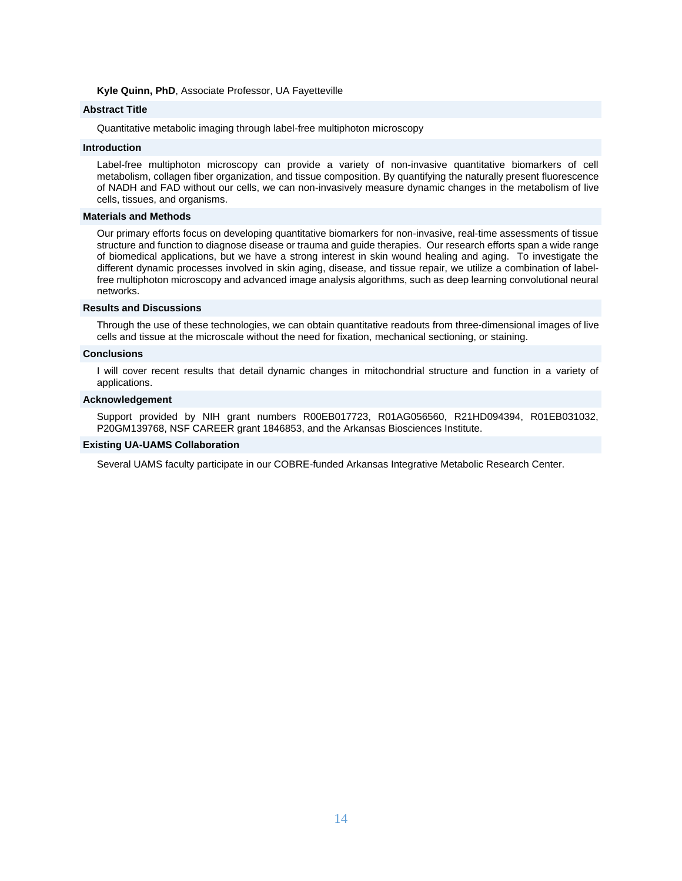#### **Kyle Quinn, PhD**, Associate Professor, UA Fayetteville

# **Abstract Title**

Quantitative metabolic imaging through label-free multiphoton microscopy

# **Introduction**

Label-free multiphoton microscopy can provide a variety of non-invasive quantitative biomarkers of cell metabolism, collagen fiber organization, and tissue composition. By quantifying the naturally present fluorescence of NADH and FAD without our cells, we can non-invasively measure dynamic changes in the metabolism of live cells, tissues, and organisms.

#### **Materials and Methods**

Our primary efforts focus on developing quantitative biomarkers for non-invasive, real-time assessments of tissue structure and function to diagnose disease or trauma and guide therapies. Our research efforts span a wide range of biomedical applications, but we have a strong interest in skin wound healing and aging. To investigate the different dynamic processes involved in skin aging, disease, and tissue repair, we utilize a combination of labelfree multiphoton microscopy and advanced image analysis algorithms, such as deep learning convolutional neural networks.

#### **Results and Discussions**

Through the use of these technologies, we can obtain quantitative readouts from three-dimensional images of live cells and tissue at the microscale without the need for fixation, mechanical sectioning, or staining.

#### **Conclusions**

I will cover recent results that detail dynamic changes in mitochondrial structure and function in a variety of applications.

#### **Acknowledgement**

Support provided by NIH grant numbers R00EB017723, R01AG056560, R21HD094394, R01EB031032, P20GM139768, NSF CAREER grant 1846853, and the Arkansas Biosciences Institute.

#### **Existing UA-UAMS Collaboration**

Several UAMS faculty participate in our COBRE-funded Arkansas Integrative Metabolic Research Center.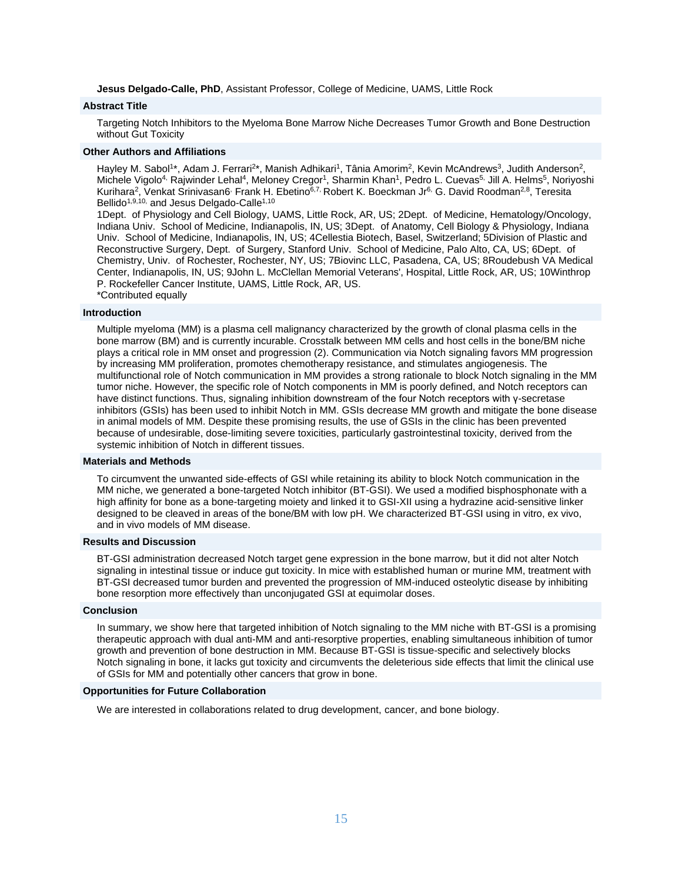**Jesus Delgado-Calle, PhD**, Assistant Professor, College of Medicine, UAMS, Little Rock

#### **Abstract Title**

Targeting Notch Inhibitors to the Myeloma Bone Marrow Niche Decreases Tumor Growth and Bone Destruction without Gut Toxicity

## **Other Authors and Affiliations**

Hayley M. Sabol<sup>1\*</sup>, Adam J. Ferrari<sup>2\*</sup>, Manish Adhikari<sup>1</sup>, Tânia Amorim<sup>2</sup>, Kevin McAndrews<sup>3</sup>, Judith Anderson<sup>2</sup>, Michele Vigolo<sup>4,</sup> Rajwinder Lehal<sup>4</sup>, Meloney Cregor<sup>1</sup>, Sharmin Khan<sup>1</sup>, Pedro L. Cuevas<sup>5,</sup> Jill A. Helms<sup>5</sup>, Noriyoshi Kurihara<sup>2</sup>, Venkat Srinivasan6<sup>,</sup> Frank H. Ebetino<sup>6,7,</sup> Robert K. Boeckman Jr<sup>6,</sup> G. David Roodman<sup>2,8</sup>, Teresita Bellido<sup>1,9,10,</sup> and Jesus Delgado-Calle<sup>1,10</sup>

1Dept. of Physiology and Cell Biology, UAMS, Little Rock, AR, US; 2Dept. of Medicine, Hematology/Oncology, Indiana Univ. School of Medicine, Indianapolis, IN, US; 3Dept. of Anatomy, Cell Biology & Physiology, Indiana Univ. School of Medicine, Indianapolis, IN, US; 4Cellestia Biotech, Basel, Switzerland; 5Division of Plastic and Reconstructive Surgery, Dept. of Surgery, Stanford Univ. School of Medicine, Palo Alto, CA, US; 6Dept. of Chemistry, Univ. of Rochester, Rochester, NY, US; 7Biovinc LLC, Pasadena, CA, US; 8Roudebush VA Medical Center, Indianapolis, IN, US; 9John L. McClellan Memorial Veterans', Hospital, Little Rock, AR, US; 10Winthrop P. Rockefeller Cancer Institute, UAMS, Little Rock, AR, US.

\*Contributed equally

# **Introduction**

Multiple myeloma (MM) is a plasma cell malignancy characterized by the growth of clonal plasma cells in the bone marrow (BM) and is currently incurable. Crosstalk between MM cells and host cells in the bone/BM niche plays a critical role in MM onset and progression (2). Communication via Notch signaling favors MM progression by increasing MM proliferation, promotes chemotherapy resistance, and stimulates angiogenesis. The multifunctional role of Notch communication in MM provides a strong rationale to block Notch signaling in the MM tumor niche. However, the specific role of Notch components in MM is poorly defined, and Notch receptors can have distinct functions. Thus, signaling inhibition downstream of the four Notch receptors with γ-secretase inhibitors (GSIs) has been used to inhibit Notch in MM. GSIs decrease MM growth and mitigate the bone disease in animal models of MM. Despite these promising results, the use of GSIs in the clinic has been prevented because of undesirable, dose-limiting severe toxicities, particularly gastrointestinal toxicity, derived from the systemic inhibition of Notch in different tissues.

#### **Materials and Methods**

To circumvent the unwanted side-effects of GSI while retaining its ability to block Notch communication in the MM niche, we generated a bone-targeted Notch inhibitor (BT-GSI). We used a modified bisphosphonate with a high affinity for bone as a bone-targeting moiety and linked it to GSI-XII using a hydrazine acid-sensitive linker designed to be cleaved in areas of the bone/BM with low pH. We characterized BT-GSI using in vitro, ex vivo, and in vivo models of MM disease.

#### **Results and Discussion**

BT-GSI administration decreased Notch target gene expression in the bone marrow, but it did not alter Notch signaling in intestinal tissue or induce gut toxicity. In mice with established human or murine MM, treatment with BT-GSI decreased tumor burden and prevented the progression of MM-induced osteolytic disease by inhibiting bone resorption more effectively than unconjugated GSI at equimolar doses.

#### **Conclusion**

In summary, we show here that targeted inhibition of Notch signaling to the MM niche with BT-GSI is a promising therapeutic approach with dual anti-MM and anti-resorptive properties, enabling simultaneous inhibition of tumor growth and prevention of bone destruction in MM. Because BT-GSI is tissue-specific and selectively blocks Notch signaling in bone, it lacks gut toxicity and circumvents the deleterious side effects that limit the clinical use of GSIs for MM and potentially other cancers that grow in bone.

#### **Opportunities for Future Collaboration**

We are interested in collaborations related to drug development, cancer, and bone biology.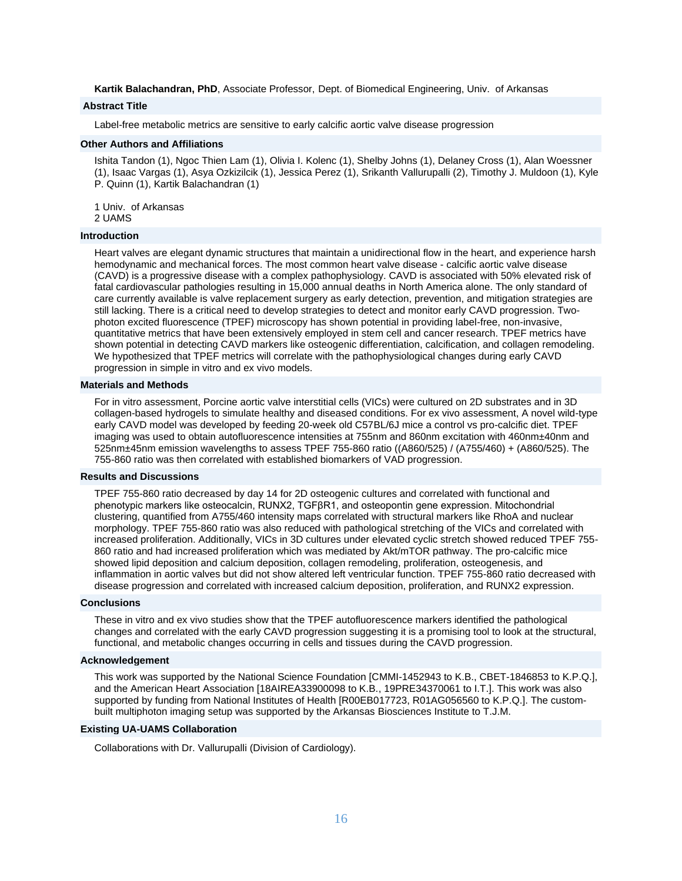**Kartik Balachandran, PhD**, Associate Professor, Dept. of Biomedical Engineering, Univ. of Arkansas

# **Abstract Title**

Label-free metabolic metrics are sensitive to early calcific aortic valve disease progression

# **Other Authors and Affiliations**

Ishita Tandon (1), Ngoc Thien Lam (1), Olivia I. Kolenc (1), Shelby Johns (1), Delaney Cross (1), Alan Woessner (1), Isaac Vargas (1), Asya Ozkizilcik (1), Jessica Perez (1), Srikanth Vallurupalli (2), Timothy J. Muldoon (1), Kyle P. Quinn (1), Kartik Balachandran (1)

1 Univ. of Arkansas 2 UAMS

#### **Introduction**

Heart valves are elegant dynamic structures that maintain a unidirectional flow in the heart, and experience harsh hemodynamic and mechanical forces. The most common heart valve disease - calcific aortic valve disease (CAVD) is a progressive disease with a complex pathophysiology. CAVD is associated with 50% elevated risk of fatal cardiovascular pathologies resulting in 15,000 annual deaths in North America alone. The only standard of care currently available is valve replacement surgery as early detection, prevention, and mitigation strategies are still lacking. There is a critical need to develop strategies to detect and monitor early CAVD progression. Twophoton excited fluorescence (TPEF) microscopy has shown potential in providing label-free, non-invasive, quantitative metrics that have been extensively employed in stem cell and cancer research. TPEF metrics have shown potential in detecting CAVD markers like osteogenic differentiation, calcification, and collagen remodeling. We hypothesized that TPEF metrics will correlate with the pathophysiological changes during early CAVD progression in simple in vitro and ex vivo models.

# **Materials and Methods**

For in vitro assessment, Porcine aortic valve interstitial cells (VICs) were cultured on 2D substrates and in 3D collagen-based hydrogels to simulate healthy and diseased conditions. For ex vivo assessment, A novel wild-type early CAVD model was developed by feeding 20-week old C57BL/6J mice a control vs pro-calcific diet. TPEF imaging was used to obtain autofluorescence intensities at 755nm and 860nm excitation with 460nm±40nm and 525nm±45nm emission wavelengths to assess TPEF 755-860 ratio ((A860/525) / (A755/460) + (A860/525). The 755-860 ratio was then correlated with established biomarkers of VAD progression.

# **Results and Discussions**

TPEF 755-860 ratio decreased by day 14 for 2D osteogenic cultures and correlated with functional and phenotypic markers like osteocalcin, RUNX2, TGFβR1, and osteopontin gene expression. Mitochondrial clustering, quantified from A755/460 intensity maps correlated with structural markers like RhoA and nuclear morphology. TPEF 755-860 ratio was also reduced with pathological stretching of the VICs and correlated with increased proliferation. Additionally, VICs in 3D cultures under elevated cyclic stretch showed reduced TPEF 755- 860 ratio and had increased proliferation which was mediated by Akt/mTOR pathway. The pro-calcific mice showed lipid deposition and calcium deposition, collagen remodeling, proliferation, osteogenesis, and inflammation in aortic valves but did not show altered left ventricular function. TPEF 755-860 ratio decreased with disease progression and correlated with increased calcium deposition, proliferation, and RUNX2 expression.

#### **Conclusions**

These in vitro and ex vivo studies show that the TPEF autofluorescence markers identified the pathological changes and correlated with the early CAVD progression suggesting it is a promising tool to look at the structural, functional, and metabolic changes occurring in cells and tissues during the CAVD progression.

#### **Acknowledgement**

This work was supported by the National Science Foundation [CMMI-1452943 to K.B., CBET-1846853 to K.P.Q.], and the American Heart Association [18AIREA33900098 to K.B., 19PRE34370061 to I.T.]. This work was also supported by funding from National Institutes of Health [R00EB017723, R01AG056560 to K.P.Q.]. The custombuilt multiphoton imaging setup was supported by the Arkansas Biosciences Institute to T.J.M.

#### **Existing UA-UAMS Collaboration**

Collaborations with Dr. Vallurupalli (Division of Cardiology).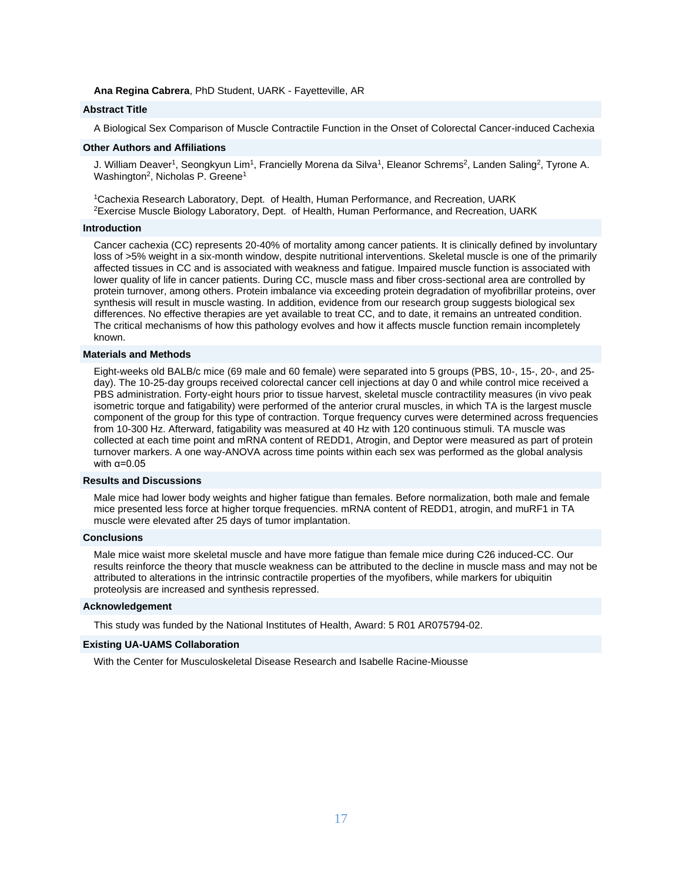#### **Ana Regina Cabrera**, PhD Student, UARK - Fayetteville, AR

# **Abstract Title**

A Biological Sex Comparison of Muscle Contractile Function in the Onset of Colorectal Cancer-induced Cachexia

#### **Other Authors and Affiliations**

J. William Deaver<sup>1</sup>, Seongkyun Lim<sup>1</sup>, Francielly Morena da Silva<sup>1</sup>, Eleanor Schrems<sup>2</sup>, Landen Saling<sup>2</sup>, Tyrone A. Washington<sup>2</sup>, Nicholas P. Greene<sup>1</sup>

<sup>1</sup>Cachexia Research Laboratory, Dept. of Health, Human Performance, and Recreation, UARK <sup>2</sup>Exercise Muscle Biology Laboratory, Dept. of Health, Human Performance, and Recreation, UARK

#### **Introduction**

Cancer cachexia (CC) represents 20-40% of mortality among cancer patients. It is clinically defined by involuntary loss of >5% weight in a six-month window, despite nutritional interventions. Skeletal muscle is one of the primarily affected tissues in CC and is associated with weakness and fatigue. Impaired muscle function is associated with lower quality of life in cancer patients. During CC, muscle mass and fiber cross-sectional area are controlled by protein turnover, among others. Protein imbalance via exceeding protein degradation of myofibrillar proteins, over synthesis will result in muscle wasting. In addition, evidence from our research group suggests biological sex differences. No effective therapies are yet available to treat CC, and to date, it remains an untreated condition. The critical mechanisms of how this pathology evolves and how it affects muscle function remain incompletely known.

#### **Materials and Methods**

Eight-weeks old BALB/c mice (69 male and 60 female) were separated into 5 groups (PBS, 10-, 15-, 20-, and 25 day). The 10-25-day groups received colorectal cancer cell injections at day 0 and while control mice received a PBS administration. Forty-eight hours prior to tissue harvest, skeletal muscle contractility measures (in vivo peak isometric torque and fatigability) were performed of the anterior crural muscles, in which TA is the largest muscle component of the group for this type of contraction. Torque frequency curves were determined across frequencies from 10-300 Hz. Afterward, fatigability was measured at 40 Hz with 120 continuous stimuli. TA muscle was collected at each time point and mRNA content of REDD1, Atrogin, and Deptor were measured as part of protein turnover markers. A one way-ANOVA across time points within each sex was performed as the global analysis with  $\alpha$ =0.05

## **Results and Discussions**

Male mice had lower body weights and higher fatigue than females. Before normalization, both male and female mice presented less force at higher torque frequencies. mRNA content of REDD1, atrogin, and muRF1 in TA muscle were elevated after 25 days of tumor implantation.

#### **Conclusions**

Male mice waist more skeletal muscle and have more fatigue than female mice during C26 induced-CC. Our results reinforce the theory that muscle weakness can be attributed to the decline in muscle mass and may not be attributed to alterations in the intrinsic contractile properties of the myofibers, while markers for ubiquitin proteolysis are increased and synthesis repressed.

#### **Acknowledgement**

This study was funded by the National Institutes of Health, Award: 5 R01 AR075794-02.

#### **Existing UA-UAMS Collaboration**

With the Center for Musculoskeletal Disease Research and Isabelle Racine-Miousse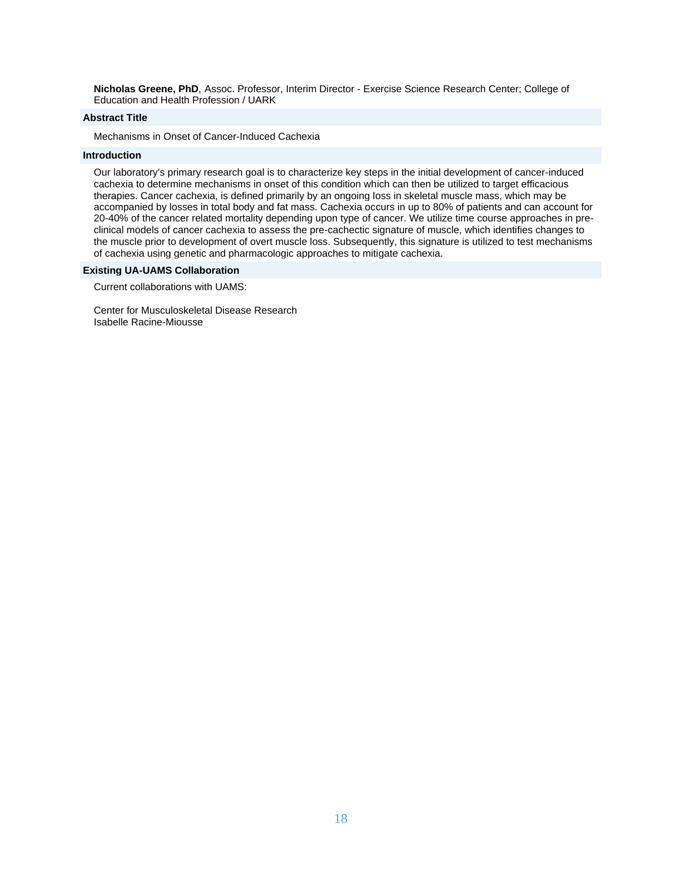**Nicholas Greene, PhD**, Assoc. Professor, Interim Director - Exercise Science Research Center; College of Education and Health Profession / UARK

## **Abstract Title**

Mechanisms in Onset of Cancer-Induced Cachexia

#### **Introduction**

Our laboratory's primary research goal is to characterize key steps in the initial development of cancer-induced cachexia to determine mechanisms in onset of this condition which can then be utilized to target efficacious therapies. Cancer cachexia, is defined primarily by an ongoing loss in skeletal muscle mass, which may be accompanied by losses in total body and fat mass. Cachexia occurs in up to 80% of patients and can account for 20-40% of the cancer related mortality depending upon type of cancer. We utilize time course approaches in preclinical models of cancer cachexia to assess the pre-cachectic signature of muscle, which identifies changes to the muscle prior to development of overt muscle loss. Subsequently, this signature is utilized to test mechanisms of cachexia using genetic and pharmacologic approaches to mitigate cachexia.

#### **Existing UA-UAMS Collaboration**

Current collaborations with UAMS:

Center for Musculoskeletal Disease Research Isabelle Racine-Miousse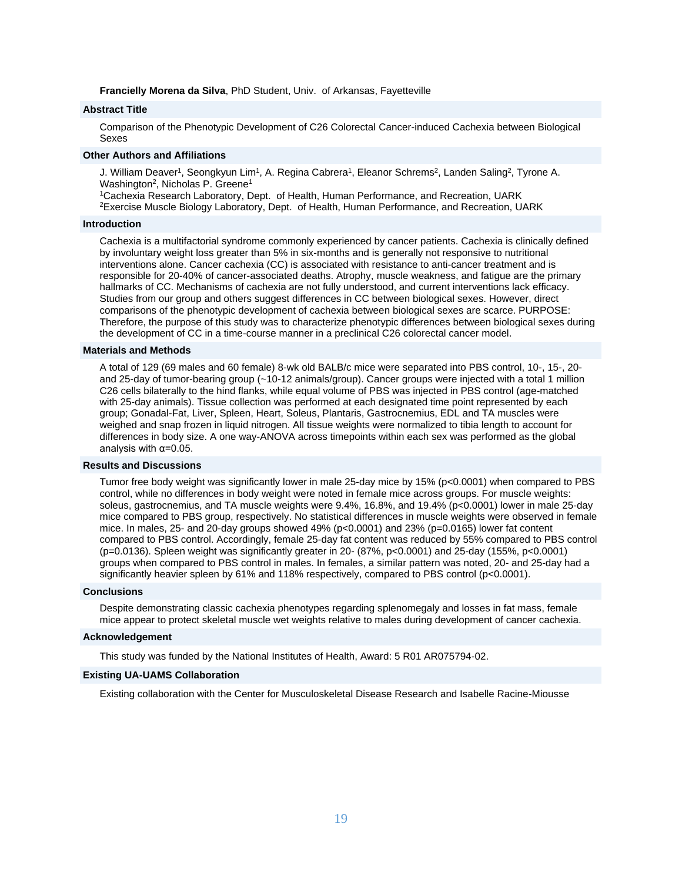#### **Francielly Morena da Silva**, PhD Student, Univ. of Arkansas, Fayetteville

# **Abstract Title**

Comparison of the Phenotypic Development of C26 Colorectal Cancer-induced Cachexia between Biological Sexes

#### **Other Authors and Affiliations**

J. William Deaver<sup>1</sup>, Seongkyun Lim<sup>1</sup>, A. Regina Cabrera<sup>1</sup>, Eleanor Schrems<sup>2</sup>, Landen Saling<sup>2</sup>, Tyrone A. Washington<sup>2</sup>, Nicholas P. Greene<sup>1</sup>

<sup>1</sup>Cachexia Research Laboratory, Dept. of Health, Human Performance, and Recreation, UARK <sup>2</sup>Exercise Muscle Biology Laboratory, Dept. of Health, Human Performance, and Recreation, UARK

#### **Introduction**

Cachexia is a multifactorial syndrome commonly experienced by cancer patients. Cachexia is clinically defined by involuntary weight loss greater than 5% in six-months and is generally not responsive to nutritional interventions alone. Cancer cachexia (CC) is associated with resistance to anti-cancer treatment and is responsible for 20-40% of cancer-associated deaths. Atrophy, muscle weakness, and fatigue are the primary hallmarks of CC. Mechanisms of cachexia are not fully understood, and current interventions lack efficacy. Studies from our group and others suggest differences in CC between biological sexes. However, direct comparisons of the phenotypic development of cachexia between biological sexes are scarce. PURPOSE: Therefore, the purpose of this study was to characterize phenotypic differences between biological sexes during the development of CC in a time-course manner in a preclinical C26 colorectal cancer model.

#### **Materials and Methods**

A total of 129 (69 males and 60 female) 8-wk old BALB/c mice were separated into PBS control, 10-, 15-, 20 and 25-day of tumor-bearing group (~10-12 animals/group). Cancer groups were injected with a total 1 million C26 cells bilaterally to the hind flanks, while equal volume of PBS was injected in PBS control (age-matched with 25-day animals). Tissue collection was performed at each designated time point represented by each group; Gonadal-Fat, Liver, Spleen, Heart, Soleus, Plantaris, Gastrocnemius, EDL and TA muscles were weighed and snap frozen in liquid nitrogen. All tissue weights were normalized to tibia length to account for differences in body size. A one way-ANOVA across timepoints within each sex was performed as the global analysis with α=0.05.

# **Results and Discussions**

Tumor free body weight was significantly lower in male 25-day mice by 15% (p<0.0001) when compared to PBS control, while no differences in body weight were noted in female mice across groups. For muscle weights: soleus, gastrocnemius, and TA muscle weights were 9.4%, 16.8%, and 19.4% (p<0.0001) lower in male 25-day mice compared to PBS group, respectively. No statistical differences in muscle weights were observed in female mice. In males, 25- and 20-day groups showed 49% (p<0.0001) and 23% (p=0.0165) lower fat content compared to PBS control. Accordingly, female 25-day fat content was reduced by 55% compared to PBS control (p=0.0136). Spleen weight was significantly greater in 20- (87%, p<0.0001) and 25-day (155%, p<0.0001) groups when compared to PBS control in males. In females, a similar pattern was noted, 20- and 25-day had a significantly heavier spleen by 61% and 118% respectively, compared to PBS control (p<0.0001).

#### **Conclusions**

Despite demonstrating classic cachexia phenotypes regarding splenomegaly and losses in fat mass, female mice appear to protect skeletal muscle wet weights relative to males during development of cancer cachexia.

#### **Acknowledgement**

This study was funded by the National Institutes of Health, Award: 5 R01 AR075794-02.

#### **Existing UA-UAMS Collaboration**

Existing collaboration with the Center for Musculoskeletal Disease Research and Isabelle Racine-Miousse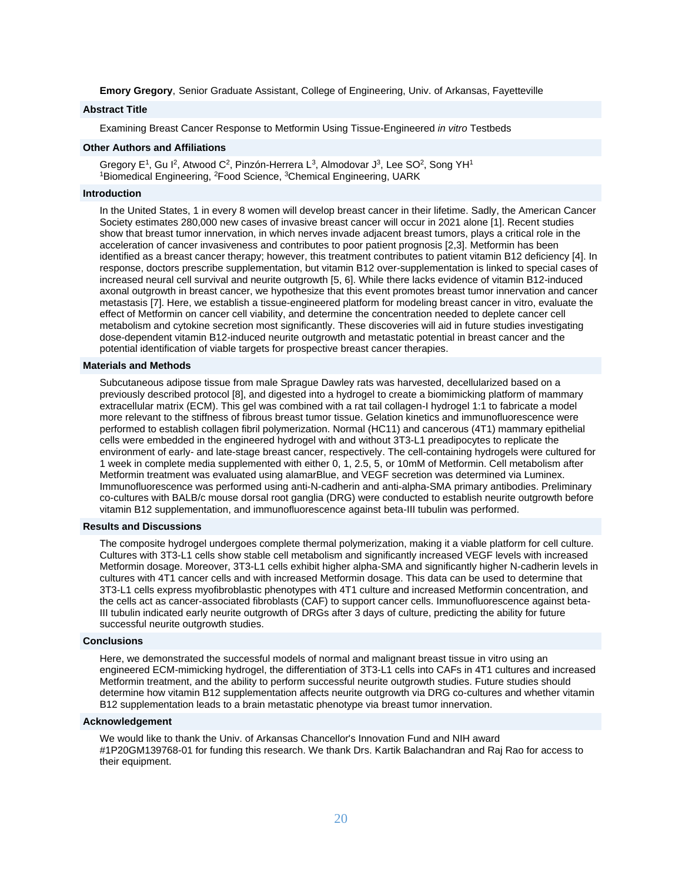**Emory Gregory**, Senior Graduate Assistant, College of Engineering, Univ. of Arkansas, Fayetteville

# **Abstract Title**

Examining Breast Cancer Response to Metformin Using Tissue-Engineered *in vitro* Testbeds

#### **Other Authors and Affiliations**

Gregory E<sup>1</sup>, Gu I<sup>2</sup>, Atwood C<sup>2</sup>, Pinzón-Herrera L<sup>3</sup>, Almodovar J<sup>3</sup>, Lee SO<sup>2</sup>, Song YH<sup>1</sup> <sup>1</sup>Biomedical Engineering, <sup>2</sup>Food Science, <sup>3</sup>Chemical Engineering, UARK

#### **Introduction**

In the United States, 1 in every 8 women will develop breast cancer in their lifetime. Sadly, the American Cancer Society estimates 280,000 new cases of invasive breast cancer will occur in 2021 alone [1]. Recent studies show that breast tumor innervation, in which nerves invade adjacent breast tumors, plays a critical role in the acceleration of cancer invasiveness and contributes to poor patient prognosis [2,3]. Metformin has been identified as a breast cancer therapy; however, this treatment contributes to patient vitamin B12 deficiency [4]. In response, doctors prescribe supplementation, but vitamin B12 over-supplementation is linked to special cases of increased neural cell survival and neurite outgrowth [5, 6]. While there lacks evidence of vitamin B12-induced axonal outgrowth in breast cancer, we hypothesize that this event promotes breast tumor innervation and cancer metastasis [7]. Here, we establish a tissue-engineered platform for modeling breast cancer in vitro, evaluate the effect of Metformin on cancer cell viability, and determine the concentration needed to deplete cancer cell metabolism and cytokine secretion most significantly. These discoveries will aid in future studies investigating dose-dependent vitamin B12-induced neurite outgrowth and metastatic potential in breast cancer and the potential identification of viable targets for prospective breast cancer therapies.

#### **Materials and Methods**

Subcutaneous adipose tissue from male Sprague Dawley rats was harvested, decellularized based on a previously described protocol [8], and digested into a hydrogel to create a biomimicking platform of mammary extracellular matrix (ECM). This gel was combined with a rat tail collagen-I hydrogel 1:1 to fabricate a model more relevant to the stiffness of fibrous breast tumor tissue. Gelation kinetics and immunofluorescence were performed to establish collagen fibril polymerization. Normal (HC11) and cancerous (4T1) mammary epithelial cells were embedded in the engineered hydrogel with and without 3T3-L1 preadipocytes to replicate the environment of early- and late-stage breast cancer, respectively. The cell-containing hydrogels were cultured for 1 week in complete media supplemented with either 0, 1, 2.5, 5, or 10mM of Metformin. Cell metabolism after Metformin treatment was evaluated using alamarBlue, and VEGF secretion was determined via Luminex. Immunofluorescence was performed using anti-N-cadherin and anti-alpha-SMA primary antibodies. Preliminary co-cultures with BALB/c mouse dorsal root ganglia (DRG) were conducted to establish neurite outgrowth before vitamin B12 supplementation, and immunofluorescence against beta-III tubulin was performed.

#### **Results and Discussions**

The composite hydrogel undergoes complete thermal polymerization, making it a viable platform for cell culture. Cultures with 3T3-L1 cells show stable cell metabolism and significantly increased VEGF levels with increased Metformin dosage. Moreover, 3T3-L1 cells exhibit higher alpha-SMA and significantly higher N-cadherin levels in cultures with 4T1 cancer cells and with increased Metformin dosage. This data can be used to determine that 3T3-L1 cells express myofibroblastic phenotypes with 4T1 culture and increased Metformin concentration, and the cells act as cancer-associated fibroblasts (CAF) to support cancer cells. Immunofluorescence against beta-III tubulin indicated early neurite outgrowth of DRGs after 3 days of culture, predicting the ability for future successful neurite outgrowth studies.

# **Conclusions**

Here, we demonstrated the successful models of normal and malignant breast tissue in vitro using an engineered ECM-mimicking hydrogel, the differentiation of 3T3-L1 cells into CAFs in 4T1 cultures and increased Metformin treatment, and the ability to perform successful neurite outgrowth studies. Future studies should determine how vitamin B12 supplementation affects neurite outgrowth via DRG co-cultures and whether vitamin B12 supplementation leads to a brain metastatic phenotype via breast tumor innervation.

#### **Acknowledgement**

We would like to thank the Univ. of Arkansas Chancellor's Innovation Fund and NIH award #1P20GM139768-01 for funding this research. We thank Drs. Kartik Balachandran and Raj Rao for access to their equipment.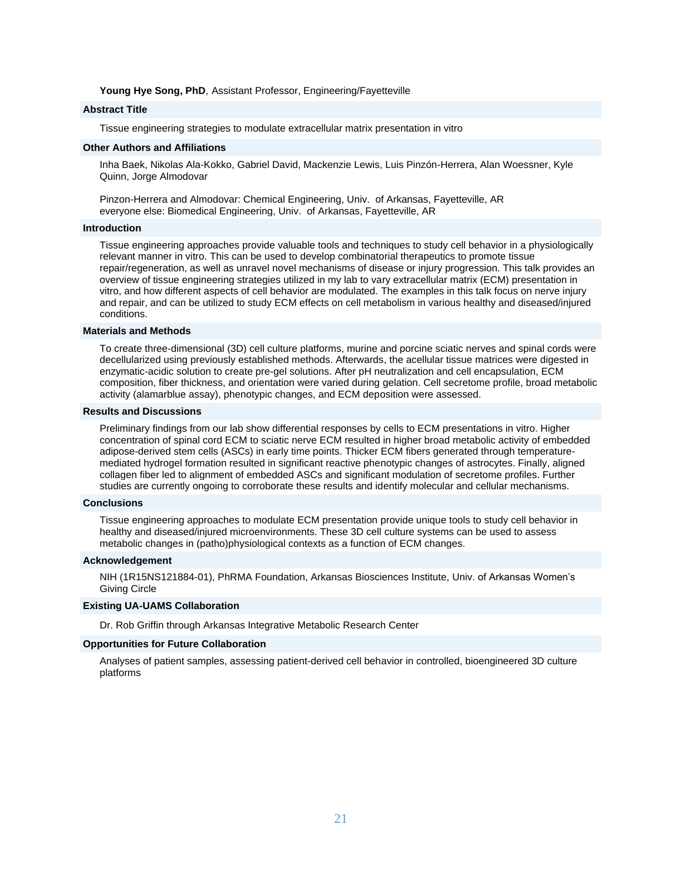#### **Young Hye Song, PhD**, Assistant Professor, Engineering/Fayetteville

# **Abstract Title**

Tissue engineering strategies to modulate extracellular matrix presentation in vitro

#### **Other Authors and Affiliations**

Inha Baek, Nikolas Ala-Kokko, Gabriel David, Mackenzie Lewis, Luis Pinzón-Herrera, Alan Woessner, Kyle Quinn, Jorge Almodovar

Pinzon-Herrera and Almodovar: Chemical Engineering, Univ. of Arkansas, Fayetteville, AR everyone else: Biomedical Engineering, Univ. of Arkansas, Fayetteville, AR

#### **Introduction**

Tissue engineering approaches provide valuable tools and techniques to study cell behavior in a physiologically relevant manner in vitro. This can be used to develop combinatorial therapeutics to promote tissue repair/regeneration, as well as unravel novel mechanisms of disease or injury progression. This talk provides an overview of tissue engineering strategies utilized in my lab to vary extracellular matrix (ECM) presentation in vitro, and how different aspects of cell behavior are modulated. The examples in this talk focus on nerve injury and repair, and can be utilized to study ECM effects on cell metabolism in various healthy and diseased/injured conditions.

#### **Materials and Methods**

To create three-dimensional (3D) cell culture platforms, murine and porcine sciatic nerves and spinal cords were decellularized using previously established methods. Afterwards, the acellular tissue matrices were digested in enzymatic-acidic solution to create pre-gel solutions. After pH neutralization and cell encapsulation, ECM composition, fiber thickness, and orientation were varied during gelation. Cell secretome profile, broad metabolic activity (alamarblue assay), phenotypic changes, and ECM deposition were assessed.

#### **Results and Discussions**

Preliminary findings from our lab show differential responses by cells to ECM presentations in vitro. Higher concentration of spinal cord ECM to sciatic nerve ECM resulted in higher broad metabolic activity of embedded adipose-derived stem cells (ASCs) in early time points. Thicker ECM fibers generated through temperaturemediated hydrogel formation resulted in significant reactive phenotypic changes of astrocytes. Finally, aligned collagen fiber led to alignment of embedded ASCs and significant modulation of secretome profiles. Further studies are currently ongoing to corroborate these results and identify molecular and cellular mechanisms.

# **Conclusions**

Tissue engineering approaches to modulate ECM presentation provide unique tools to study cell behavior in healthy and diseased/injured microenvironments. These 3D cell culture systems can be used to assess metabolic changes in (patho)physiological contexts as a function of ECM changes.

#### **Acknowledgement**

NIH (1R15NS121884-01), PhRMA Foundation, Arkansas Biosciences Institute, Univ. of Arkansas Women's Giving Circle

# **Existing UA-UAMS Collaboration**

Dr. Rob Griffin through Arkansas Integrative Metabolic Research Center

#### **Opportunities for Future Collaboration**

Analyses of patient samples, assessing patient-derived cell behavior in controlled, bioengineered 3D culture platforms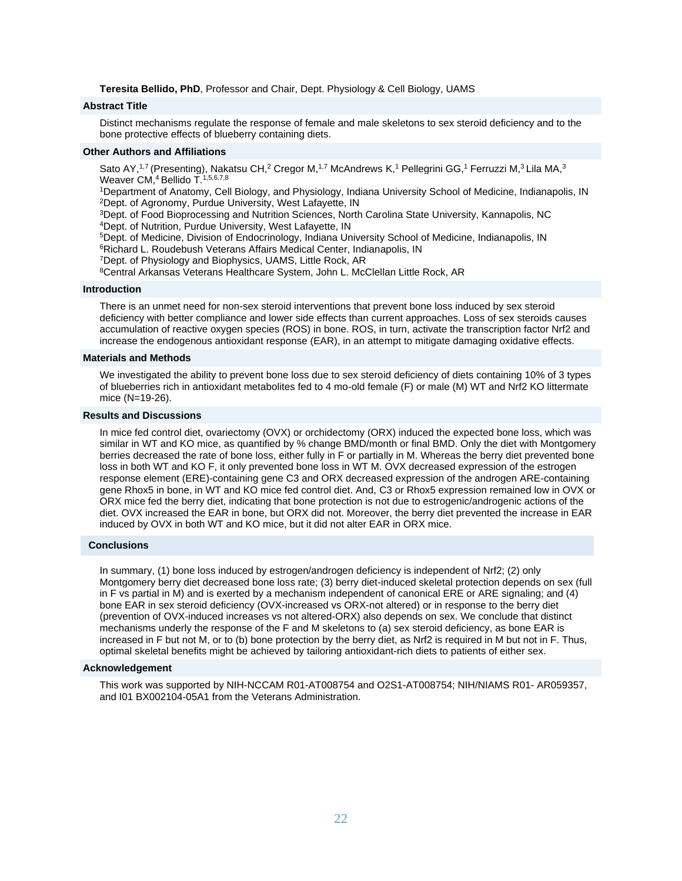**Teresita Bellido, PhD**, Professor and Chair, Dept. Physiology & Cell Biology, UAMS

#### **Abstract Title**

Distinct mechanisms regulate the response of female and male skeletons to sex steroid deficiency and to the bone protective effects of blueberry containing diets.

## **Other Authors and Affiliations**

Sato AY,<sup>1,7</sup> (Presenting), Nakatsu CH,<sup>2</sup> Cregor M,<sup>1,7</sup> McAndrews K,<sup>1</sup> Pellegrini GG,<sup>1</sup> Ferruzzi M,<sup>3</sup> Lila MA,<sup>3</sup> Weaver CM,<sup>4</sup> Bellido T.<sup>1,5,6,7,8</sup>

<sup>1</sup>Department of Anatomy, Cell Biology, and Physiology, Indiana University School of Medicine, Indianapolis, IN <sup>2</sup>Dept. of Agronomy, Purdue University, West Lafayette, IN

<sup>3</sup>Dept. of Food Bioprocessing and Nutrition Sciences, North Carolina State University, Kannapolis, NC

<sup>4</sup>Dept. of Nutrition, Purdue University, West Lafayette, IN

<sup>5</sup>Dept. of Medicine, Division of Endocrinology, Indiana University School of Medicine, Indianapolis, IN

<sup>6</sup>Richard L. Roudebush Veterans Affairs Medical Center, Indianapolis, IN

<sup>7</sup>Dept. of Physiology and Biophysics, UAMS, Little Rock, AR

<sup>8</sup>Central Arkansas Veterans Healthcare System, John L. McClellan Little Rock, AR

#### **Introduction**

There is an unmet need for non-sex steroid interventions that prevent bone loss induced by sex steroid deficiency with better compliance and lower side effects than current approaches. Loss of sex steroids causes accumulation of reactive oxygen species (ROS) in bone. ROS, in turn, activate the transcription factor Nrf2 and increase the endogenous antioxidant response (EAR), in an attempt to mitigate damaging oxidative effects.

#### **Materials and Methods**

We investigated the ability to prevent bone loss due to sex steroid deficiency of diets containing 10% of 3 types of blueberries rich in antioxidant metabolites fed to 4 mo-old female (F) or male (M) WT and Nrf2 KO littermate mice (N=19-26).

# **Results and Discussions**

In mice fed control diet, ovariectomy (OVX) or orchidectomy (ORX) induced the expected bone loss, which was similar in WT and KO mice, as quantified by % change BMD/month or final BMD. Only the diet with Montgomery berries decreased the rate of bone loss, either fully in F or partially in M. Whereas the berry diet prevented bone loss in both WT and KO F, it only prevented bone loss in WT M. OVX decreased expression of the estrogen response element (ERE)-containing gene C3 and ORX decreased expression of the androgen ARE-containing gene Rhox5 in bone, in WT and KO mice fed control diet. And, C3 or Rhox5 expression remained low in OVX or ORX mice fed the berry diet, indicating that bone protection is not due to estrogenic/androgenic actions of the diet. OVX increased the EAR in bone, but ORX did not. Moreover, the berry diet prevented the increase in EAR induced by OVX in both WT and KO mice, but it did not alter EAR in ORX mice.

#### **Conclusions**

In summary, (1) bone loss induced by estrogen/androgen deficiency is independent of Nrf2; (2) only Montgomery berry diet decreased bone loss rate; (3) berry diet-induced skeletal protection depends on sex (full in F vs partial in M) and is exerted by a mechanism independent of canonical ERE or ARE signaling; and (4) bone EAR in sex steroid deficiency (OVX-increased vs ORX-not altered) or in response to the berry diet (prevention of OVX-induced increases vs not altered-ORX) also depends on sex. We conclude that distinct mechanisms underly the response of the F and M skeletons to (a) sex steroid deficiency, as bone EAR is increased in F but not M, or to (b) bone protection by the berry diet, as Nrf2 is required in M but not in F. Thus, optimal skeletal benefits might be achieved by tailoring antioxidant-rich diets to patients of either sex.

#### **Acknowledgement**

This work was supported by NIH-NCCAM R01-AT008754 and O2S1-AT008754; NIH/NIAMS R01- AR059357, and I01 BX002104-05A1 from the Veterans Administration.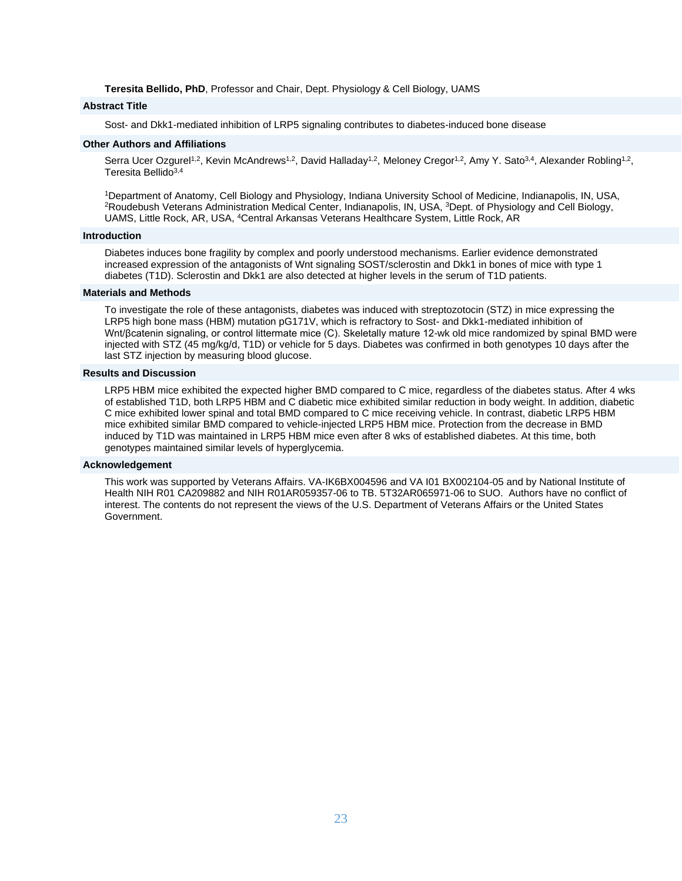**Teresita Bellido, PhD**, Professor and Chair, Dept. Physiology & Cell Biology, UAMS

#### **Abstract Title**

Sost- and Dkk1-mediated inhibition of LRP5 signaling contributes to diabetes-induced bone disease

# **Other Authors and Affiliations**

Serra Ucer Ozgurel<sup>1,2</sup>, Kevin McAndrews<sup>1,2</sup>, David Halladay<sup>1,2</sup>, Meloney Cregor<sup>1,2</sup>, Amy Y. Sato<sup>3,4</sup>, Alexander Robling<sup>1,2</sup>, Teresita Bellido<sup>3,4</sup>

<sup>1</sup>Department of Anatomy, Cell Biology and Physiology, Indiana University School of Medicine, Indianapolis, IN, USA, <sup>2</sup>Roudebush Veterans Administration Medical Center, Indianapolis, IN, USA, <sup>3</sup>Dept. of Physiology and Cell Biology, UAMS, Little Rock, AR, USA, <sup>4</sup>Central Arkansas Veterans Healthcare System, Little Rock, AR

# **Introduction**

Diabetes induces bone fragility by complex and poorly understood mechanisms. Earlier evidence demonstrated increased expression of the antagonists of Wnt signaling SOST/sclerostin and Dkk1 in bones of mice with type 1 diabetes (T1D). Sclerostin and Dkk1 are also detected at higher levels in the serum of T1D patients.

# **Materials and Methods**

To investigate the role of these antagonists, diabetes was induced with streptozotocin (STZ) in mice expressing the LRP5 high bone mass (HBM) mutation pG171V, which is refractory to Sost- and Dkk1-mediated inhibition of Wnt/βcatenin signaling, or control littermate mice (C). Skeletally mature 12-wk old mice randomized by spinal BMD were injected with STZ (45 mg/kg/d, T1D) or vehicle for 5 days. Diabetes was confirmed in both genotypes 10 days after the last STZ injection by measuring blood glucose.

# **Results and Discussion**

LRP5 HBM mice exhibited the expected higher BMD compared to C mice, regardless of the diabetes status. After 4 wks of established T1D, both LRP5 HBM and C diabetic mice exhibited similar reduction in body weight. In addition, diabetic C mice exhibited lower spinal and total BMD compared to C mice receiving vehicle. In contrast, diabetic LRP5 HBM mice exhibited similar BMD compared to vehicle-injected LRP5 HBM mice. Protection from the decrease in BMD induced by T1D was maintained in LRP5 HBM mice even after 8 wks of established diabetes. At this time, both genotypes maintained similar levels of hyperglycemia.

# **Acknowledgement**

This work was supported by Veterans Affairs. VA-IK6BX004596 and VA I01 BX002104-05 and by National Institute of Health NIH R01 CA209882 and NIH R01AR059357-06 to TB. 5T32AR065971-06 to SUO. Authors have no conflict of interest. The contents do not represent the views of the U.S. Department of Veterans Affairs or the United States Government.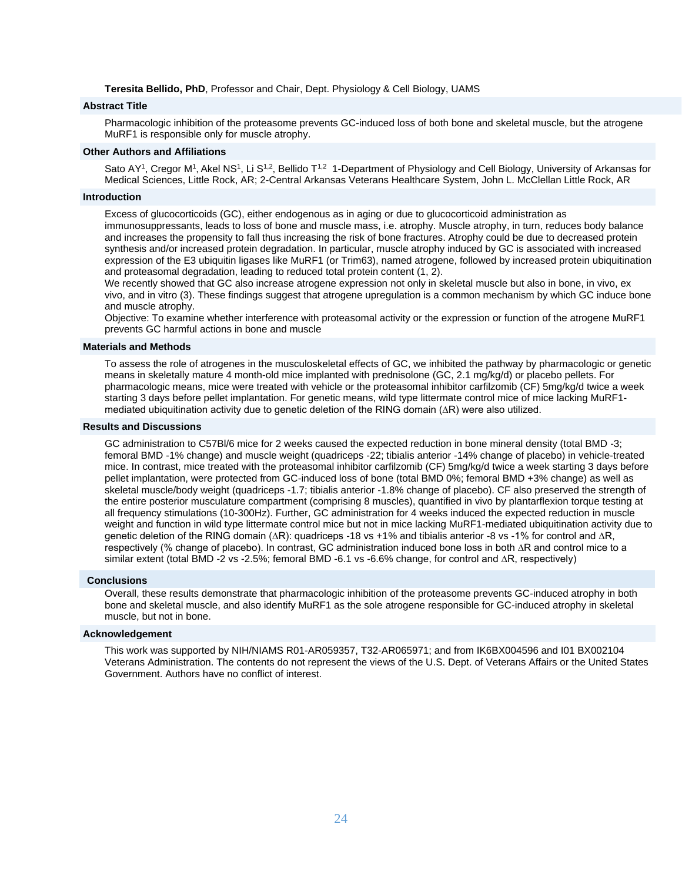**Teresita Bellido, PhD**, Professor and Chair, Dept. Physiology & Cell Biology, UAMS

#### **Abstract Title**

Pharmacologic inhibition of the proteasome prevents GC-induced loss of both bone and skeletal muscle, but the atrogene MuRF1 is responsible only for muscle atrophy.

#### **Other Authors and Affiliations**

Sato AY<sup>1</sup>, Cregor M<sup>1</sup>, Akel NS<sup>1</sup>, Li S<sup>1,2</sup>, Bellido T<sup>1,2</sup> 1-Department of Physiology and Cell Biology, University of Arkansas for Medical Sciences, Little Rock, AR; 2-Central Arkansas Veterans Healthcare System, John L. McClellan Little Rock, AR

#### **Introduction**

Excess of glucocorticoids (GC), either endogenous as in aging or due to glucocorticoid administration as immunosuppressants, leads to loss of bone and muscle mass, i.e. atrophy. Muscle atrophy, in turn, reduces body balance and increases the propensity to fall thus increasing the risk of bone fractures. Atrophy could be due to decreased protein synthesis and/or increased protein degradation. In particular, muscle atrophy induced by GC is associated with increased expression of the E3 ubiquitin ligases like MuRF1 (or Trim63), named atrogene, followed by increased protein ubiquitination and proteasomal degradation, leading to reduced total protein content (1, 2).

We recently showed that GC also increase atrogene expression not only in skeletal muscle but also in bone, in vivo, ex vivo, and in vitro (3). These findings suggest that atrogene upregulation is a common mechanism by which GC induce bone and muscle atrophy.

Objective: To examine whether interference with proteasomal activity or the expression or function of the atrogene MuRF1 prevents GC harmful actions in bone and muscle

### **Materials and Methods**

To assess the role of atrogenes in the musculoskeletal effects of GC, we inhibited the pathway by pharmacologic or genetic means in skeletally mature 4 month-old mice implanted with prednisolone (GC, 2.1 mg/kg/d) or placebo pellets. For pharmacologic means, mice were treated with vehicle or the proteasomal inhibitor carfilzomib (CF) 5mg/kg/d twice a week starting 3 days before pellet implantation. For genetic means, wild type littermate control mice of mice lacking MuRF1 mediated ubiquitination activity due to genetic deletion of the RING domain (∆R) were also utilized.

# **Results and Discussions**

GC administration to C57Bl/6 mice for 2 weeks caused the expected reduction in bone mineral density (total BMD -3; femoral BMD -1% change) and muscle weight (quadriceps -22; tibialis anterior -14% change of placebo) in vehicle-treated mice. In contrast, mice treated with the proteasomal inhibitor carfilzomib (CF) 5mg/kg/d twice a week starting 3 days before pellet implantation, were protected from GC-induced loss of bone (total BMD 0%; femoral BMD +3% change) as well as skeletal muscle/body weight (quadriceps -1.7; tibialis anterior -1.8% change of placebo). CF also preserved the strength of the entire posterior musculature compartment (comprising 8 muscles), quantified in vivo by plantarflexion torque testing at all frequency stimulations (10-300Hz). Further, GC administration for 4 weeks induced the expected reduction in muscle weight and function in wild type littermate control mice but not in mice lacking MuRF1-mediated ubiquitination activity due to genetic deletion of the RING domain (∆R): quadriceps -18 vs +1% and tibialis anterior -8 vs -1% for control and ∆R, respectively (% change of placebo). In contrast, GC administration induced bone loss in both ∆R and control mice to a similar extent (total BMD -2 vs -2.5%; femoral BMD -6.1 vs -6.6% change, for control and ∆R, respectively)

#### **Conclusions**

Overall, these results demonstrate that pharmacologic inhibition of the proteasome prevents GC-induced atrophy in both bone and skeletal muscle, and also identify MuRF1 as the sole atrogene responsible for GC-induced atrophy in skeletal muscle, but not in bone.

#### **Acknowledgement**

This work was supported by NIH/NIAMS R01-AR059357, T32-AR065971; and from IK6BX004596 and I01 BX002104 Veterans Administration. The contents do not represent the views of the U.S. Dept. of Veterans Affairs or the United States Government. Authors have no conflict of interest.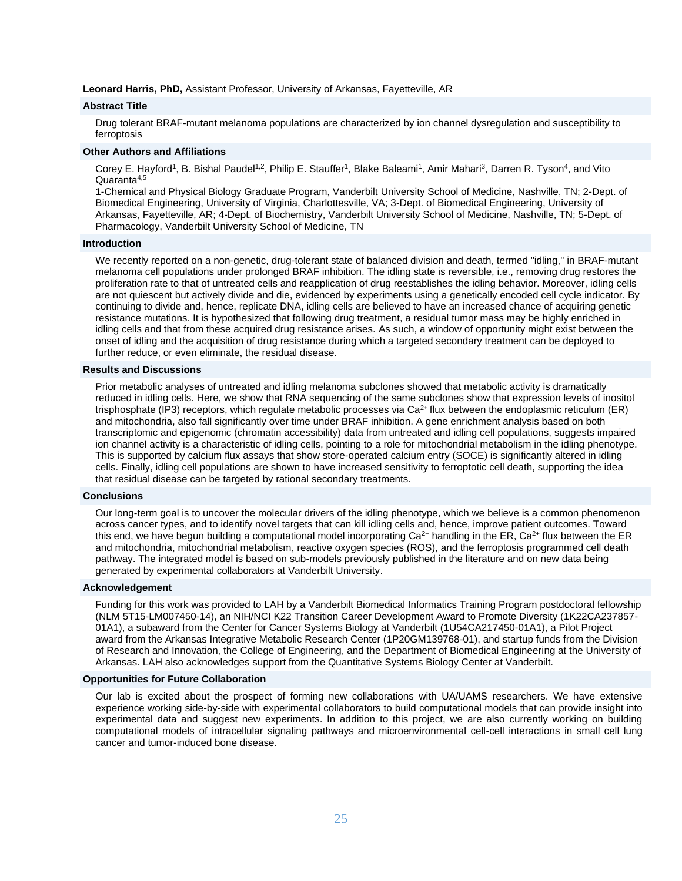**Leonard Harris, PhD,** Assistant Professor, University of Arkansas, Fayetteville, AR

#### **Abstract Title**

Drug tolerant BRAF-mutant melanoma populations are characterized by ion channel dysregulation and susceptibility to ferroptosis

#### **Other Authors and Affiliations**

Corey E. Hayford<sup>1</sup>, B. Bishal Paudel<sup>1,2</sup>, Philip E. Stauffer<sup>1</sup>, Blake Baleami<sup>1</sup>, Amir Mahari<sup>3</sup>, Darren R. Tyson<sup>4</sup>, and Vito Quaranta4,5

1-Chemical and Physical Biology Graduate Program, Vanderbilt University School of Medicine, Nashville, TN; 2-Dept. of Biomedical Engineering, University of Virginia, Charlottesville, VA; 3-Dept. of Biomedical Engineering, University of Arkansas, Fayetteville, AR; 4-Dept. of Biochemistry, Vanderbilt University School of Medicine, Nashville, TN; 5-Dept. of Pharmacology, Vanderbilt University School of Medicine, TN

#### **Introduction**

We recently reported on a non-genetic, drug-tolerant state of balanced division and death, termed "idling," in BRAF-mutant melanoma cell populations under prolonged BRAF inhibition. The idling state is reversible, i.e., removing drug restores the proliferation rate to that of untreated cells and reapplication of drug reestablishes the idling behavior. Moreover, idling cells are not quiescent but actively divide and die, evidenced by experiments using a genetically encoded cell cycle indicator. By continuing to divide and, hence, replicate DNA, idling cells are believed to have an increased chance of acquiring genetic resistance mutations. It is hypothesized that following drug treatment, a residual tumor mass may be highly enriched in idling cells and that from these acquired drug resistance arises. As such, a window of opportunity might exist between the onset of idling and the acquisition of drug resistance during which a targeted secondary treatment can be deployed to further reduce, or even eliminate, the residual disease.

#### **Results and Discussions**

Prior metabolic analyses of untreated and idling melanoma subclones showed that metabolic activity is dramatically reduced in idling cells. Here, we show that RNA sequencing of the same subclones show that expression levels of inositol trisphosphate (IP3) receptors, which regulate metabolic processes via Ca<sup>2+</sup> flux between the endoplasmic reticulum (ER) and mitochondria, also fall significantly over time under BRAF inhibition. A gene enrichment analysis based on both transcriptomic and epigenomic (chromatin accessibility) data from untreated and idling cell populations, suggests impaired ion channel activity is a characteristic of idling cells, pointing to a role for mitochondrial metabolism in the idling phenotype. This is supported by calcium flux assays that show store-operated calcium entry (SOCE) is significantly altered in idling cells. Finally, idling cell populations are shown to have increased sensitivity to ferroptotic cell death, supporting the idea that residual disease can be targeted by rational secondary treatments.

#### **Conclusions**

Our long-term goal is to uncover the molecular drivers of the idling phenotype, which we believe is a common phenomenon across cancer types, and to identify novel targets that can kill idling cells and, hence, improve patient outcomes. Toward this end, we have begun building a computational model incorporating  $Ca^{2+}$  handling in the ER,  $Ca^{2+}$  flux between the ER and mitochondria, mitochondrial metabolism, reactive oxygen species (ROS), and the ferroptosis programmed cell death pathway. The integrated model is based on sub-models previously published in the literature and on new data being generated by experimental collaborators at Vanderbilt University.

#### **Acknowledgement**

Funding for this work was provided to LAH by a Vanderbilt Biomedical Informatics Training Program postdoctoral fellowship (NLM 5T15-LM007450-14), an NIH/NCI K22 Transition Career Development Award to Promote Diversity (1K22CA237857- 01A1), a subaward from the Center for Cancer Systems Biology at Vanderbilt (1U54CA217450-01A1), a Pilot Project award from the Arkansas Integrative Metabolic Research Center (1P20GM139768-01), and startup funds from the Division of Research and Innovation, the College of Engineering, and the Department of Biomedical Engineering at the University of Arkansas. LAH also acknowledges support from the Quantitative Systems Biology Center at Vanderbilt.

#### **Opportunities for Future Collaboration**

Our lab is excited about the prospect of forming new collaborations with UA/UAMS researchers. We have extensive experience working side-by-side with experimental collaborators to build computational models that can provide insight into experimental data and suggest new experiments. In addition to this project, we are also currently working on building computational models of intracellular signaling pathways and microenvironmental cell-cell interactions in small cell lung cancer and tumor-induced bone disease.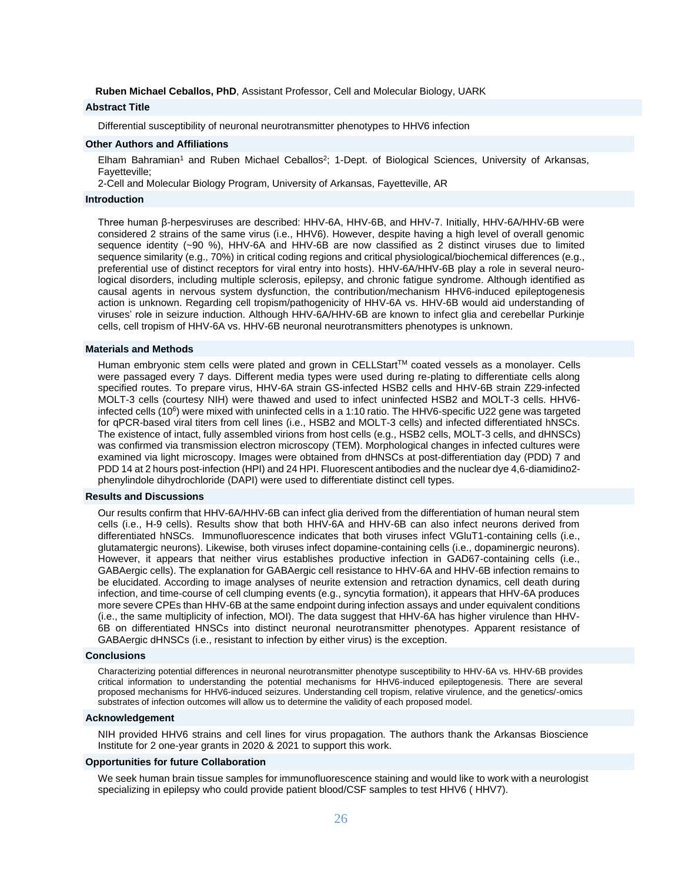**Ruben Michael Ceballos, PhD**, Assistant Professor, Cell and Molecular Biology, UARK

# **Abstract Title**

Differential susceptibility of neuronal neurotransmitter phenotypes to HHV6 infection

# **Other Authors and Affiliations**

Elham Bahramian<sup>1</sup> and Ruben Michael Ceballos<sup>2</sup>; 1-Dept. of Biological Sciences, University of Arkansas, Fayetteville;

2-Cell and Molecular Biology Program, University of Arkansas, Fayetteville, AR

#### **Introduction**

Three human β-herpesviruses are described: HHV-6A, HHV-6B, and HHV-7. Initially, HHV-6A/HHV-6B were considered 2 strains of the same virus (i.e., HHV6). However, despite having a high level of overall genomic sequence identity (~90 %), HHV-6A and HHV-6B are now classified as 2 distinct viruses due to limited sequence similarity (e.g., 70%) in critical coding regions and critical physiological/biochemical differences (e.g., preferential use of distinct receptors for viral entry into hosts). HHV-6A/HHV-6B play a role in several neurological disorders, including multiple sclerosis, epilepsy, and chronic fatigue syndrome. Although identified as causal agents in nervous system dysfunction, the contribution/mechanism HHV6-induced epileptogenesis action is unknown. Regarding cell tropism/pathogenicity of HHV-6A vs. HHV-6B would aid understanding of viruses' role in seizure induction. Although HHV-6A/HHV-6B are known to infect glia and cerebellar Purkinje cells, cell tropism of HHV-6A vs. HHV-6B neuronal neurotransmitters phenotypes is unknown.

#### **Materials and Methods**

Human embryonic stem cells were plated and grown in CELLStart™ coated vessels as a monolayer. Cells were passaged every 7 days. Different media types were used during re-plating to differentiate cells along specified routes. To prepare virus, HHV-6A strain GS-infected HSB2 cells and HHV-6B strain Z29-infected MOLT-3 cells (courtesy NIH) were thawed and used to infect uninfected HSB2 and MOLT-3 cells. HHV6 infected cells (10<sup>6</sup>) were mixed with uninfected cells in a 1:10 ratio. The HHV6-specific U22 gene was targeted for qPCR-based viral titers from cell lines (i.e., HSB2 and MOLT-3 cells) and infected differentiated hNSCs. The existence of intact, fully assembled virions from host cells (e.g., HSB2 cells, MOLT-3 cells, and dHNSCs) was confirmed via transmission electron microscopy (TEM). Morphological changes in infected cultures were examined via light microscopy. Images were obtained from dHNSCs at post-differentiation day (PDD) 7 and PDD 14 at 2 hours post-infection (HPI) and 24 HPI. Fluorescent antibodies and the nuclear dye 4,6-diamidino2 phenylindole dihydrochloride (DAPI) were used to differentiate distinct cell types.

#### **Results and Discussions**

Our results confirm that HHV-6A/HHV-6B can infect glia derived from the differentiation of human neural stem cells (i.e., H-9 cells). Results show that both HHV-6A and HHV-6B can also infect neurons derived from differentiated hNSCs. Immunofluorescence indicates that both viruses infect VGluT1-containing cells (i.e., glutamatergic neurons). Likewise, both viruses infect dopamine-containing cells (i.e., dopaminergic neurons). However, it appears that neither virus establishes productive infection in GAD67-containing cells (i.e., GABAergic cells). The explanation for GABAergic cell resistance to HHV-6A and HHV-6B infection remains to be elucidated. According to image analyses of neurite extension and retraction dynamics, cell death during infection, and time-course of cell clumping events (e.g., syncytia formation), it appears that HHV-6A produces more severe CPEs than HHV-6B at the same endpoint during infection assays and under equivalent conditions (i.e., the same multiplicity of infection, MOI). The data suggest that HHV-6A has higher virulence than HHV-6B on differentiated HNSCs into distinct neuronal neurotransmitter phenotypes. Apparent resistance of GABAergic dHNSCs (i.e., resistant to infection by either virus) is the exception.

#### **Conclusions**

Characterizing potential differences in neuronal neurotransmitter phenotype susceptibility to HHV-6A vs. HHV-6B provides critical information to understanding the potential mechanisms for HHV6-induced epileptogenesis. There are several proposed mechanisms for HHV6-induced seizures. Understanding cell tropism, relative virulence, and the genetics/-omics substrates of infection outcomes will allow us to determine the validity of each proposed model.

#### **Acknowledgement**

NIH provided HHV6 strains and cell lines for virus propagation. The authors thank the Arkansas Bioscience Institute for 2 one-year grants in 2020 & 2021 to support this work.

#### **Opportunities for future Collaboration**

We seek human brain tissue samples for immunofluorescence staining and would like to work with a neurologist specializing in epilepsy who could provide patient blood/CSF samples to test HHV6 ( HHV7).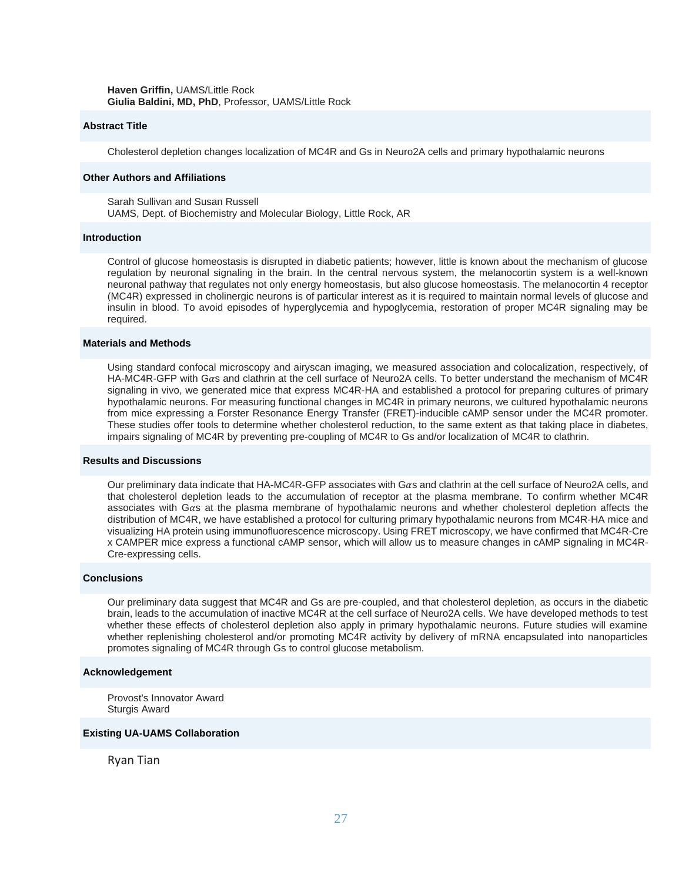**Haven Griffin,** UAMS/Little Rock **Giulia Baldini, MD, PhD**, Professor, UAMS/Little Rock

# **Abstract Title**

Cholesterol depletion changes localization of MC4R and Gs in Neuro2A cells and primary hypothalamic neurons

# **Other Authors and Affiliations**

Sarah Sullivan and Susan Russell UAMS, Dept. of Biochemistry and Molecular Biology, Little Rock, AR

#### **Introduction**

Control of glucose homeostasis is disrupted in diabetic patients; however, little is known about the mechanism of glucose regulation by neuronal signaling in the brain. In the central nervous system, the melanocortin system is a well-known neuronal pathway that regulates not only energy homeostasis, but also glucose homeostasis. The melanocortin 4 receptor (MC4R) expressed in cholinergic neurons is of particular interest as it is required to maintain normal levels of glucose and insulin in blood. To avoid episodes of hyperglycemia and hypoglycemia, restoration of proper MC4R signaling may be required.

#### **Materials and Methods**

Using standard confocal microscopy and airyscan imaging, we measured association and colocalization, respectively, of HA-MC4R-GFP with Gas and clathrin at the cell surface of Neuro2A cells. To better understand the mechanism of MC4R signaling in vivo, we generated mice that express MC4R-HA and established a protocol for preparing cultures of primary hypothalamic neurons. For measuring functional changes in MC4R in primary neurons, we cultured hypothalamic neurons from mice expressing a Forster Resonance Energy Transfer (FRET)-inducible cAMP sensor under the MC4R promoter. These studies offer tools to determine whether cholesterol reduction, to the same extent as that taking place in diabetes, impairs signaling of MC4R by preventing pre-coupling of MC4R to Gs and/or localization of MC4R to clathrin.

#### **Results and Discussions**

Our preliminary data indicate that HA-MC4R-GFP associates with G $\alpha$ s and clathrin at the cell surface of Neuro2A cells, and that cholesterol depletion leads to the accumulation of receptor at the plasma membrane. To confirm whether MC4R associates with G $\alpha$ s at the plasma membrane of hypothalamic neurons and whether cholesterol depletion affects the distribution of MC4R, we have established a protocol for culturing primary hypothalamic neurons from MC4R-HA mice and visualizing HA protein using immunofluorescence microscopy. Using FRET microscopy, we have confirmed that MC4R-Cre x CAMPER mice express a functional cAMP sensor, which will allow us to measure changes in cAMP signaling in MC4R-Cre-expressing cells.

#### **Conclusions**

Our preliminary data suggest that MC4R and Gs are pre-coupled, and that cholesterol depletion, as occurs in the diabetic brain, leads to the accumulation of inactive MC4R at the cell surface of Neuro2A cells. We have developed methods to test whether these effects of cholesterol depletion also apply in primary hypothalamic neurons. Future studies will examine whether replenishing cholesterol and/or promoting MC4R activity by delivery of mRNA encapsulated into nanoparticles promotes signaling of MC4R through Gs to control glucose metabolism.

#### **Acknowledgement**

Provost's Innovator Award Sturgis Award

#### **Existing UA-UAMS Collaboration**

Ryan Tian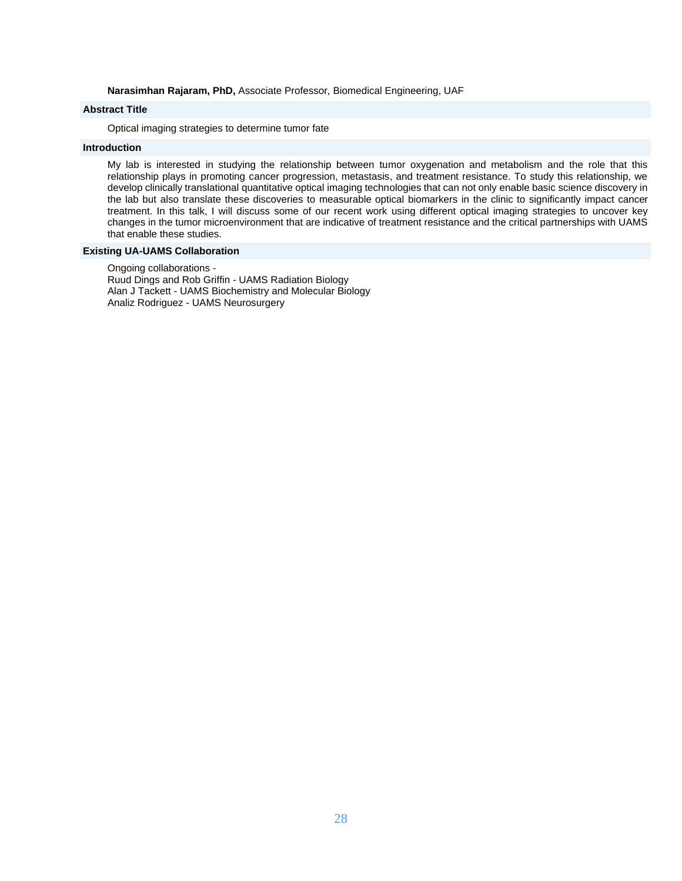**Narasimhan Rajaram, PhD,** Associate Professor, Biomedical Engineering, UAF

# **Abstract Title**

Optical imaging strategies to determine tumor fate

# **Introduction**

My lab is interested in studying the relationship between tumor oxygenation and metabolism and the role that this relationship plays in promoting cancer progression, metastasis, and treatment resistance. To study this relationship, we develop clinically translational quantitative optical imaging technologies that can not only enable basic science discovery in the lab but also translate these discoveries to measurable optical biomarkers in the clinic to significantly impact cancer treatment. In this talk, I will discuss some of our recent work using different optical imaging strategies to uncover key changes in the tumor microenvironment that are indicative of treatment resistance and the critical partnerships with UAMS that enable these studies.

# **Existing UA-UAMS Collaboration**

Ongoing collaborations - Ruud Dings and Rob Griffin - UAMS Radiation Biology Alan J Tackett - UAMS Biochemistry and Molecular Biology Analiz Rodriguez - UAMS Neurosurgery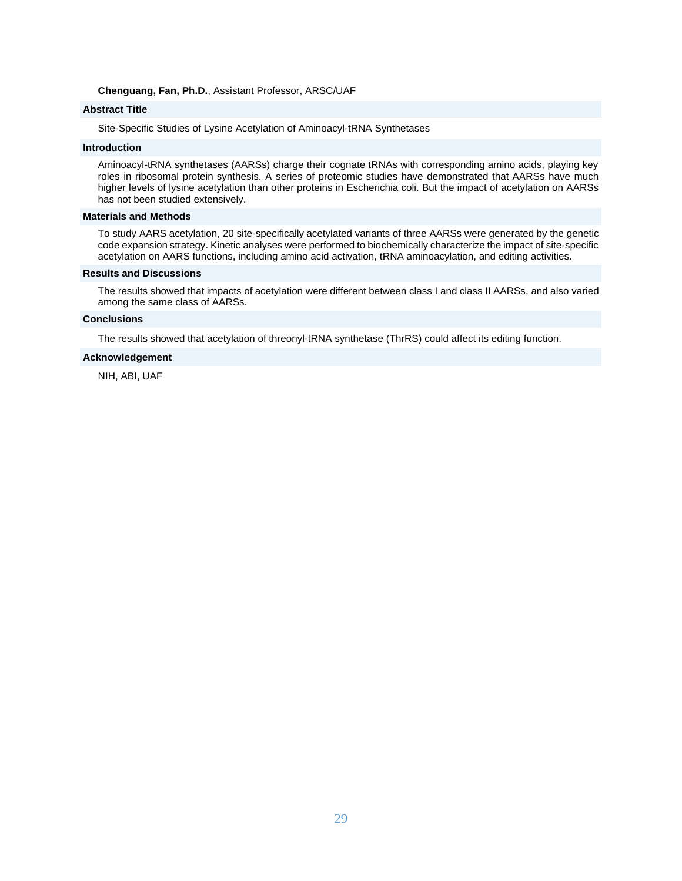#### **Chenguang, Fan, Ph.D.**, Assistant Professor, ARSC/UAF

# **Abstract Title**

Site-Specific Studies of Lysine Acetylation of Aminoacyl-tRNA Synthetases

# **Introduction**

Aminoacyl-tRNA synthetases (AARSs) charge their cognate tRNAs with corresponding amino acids, playing key roles in ribosomal protein synthesis. A series of proteomic studies have demonstrated that AARSs have much higher levels of lysine acetylation than other proteins in Escherichia coli. But the impact of acetylation on AARSs has not been studied extensively.

#### **Materials and Methods**

To study AARS acetylation, 20 site-specifically acetylated variants of three AARSs were generated by the genetic code expansion strategy. Kinetic analyses were performed to biochemically characterize the impact of site-specific acetylation on AARS functions, including amino acid activation, tRNA aminoacylation, and editing activities.

#### **Results and Discussions**

The results showed that impacts of acetylation were different between class I and class II AARSs, and also varied among the same class of AARSs.

# **Conclusions**

The results showed that acetylation of threonyl-tRNA synthetase (ThrRS) could affect its editing function.

#### **Acknowledgement**

NIH, ABI, UAF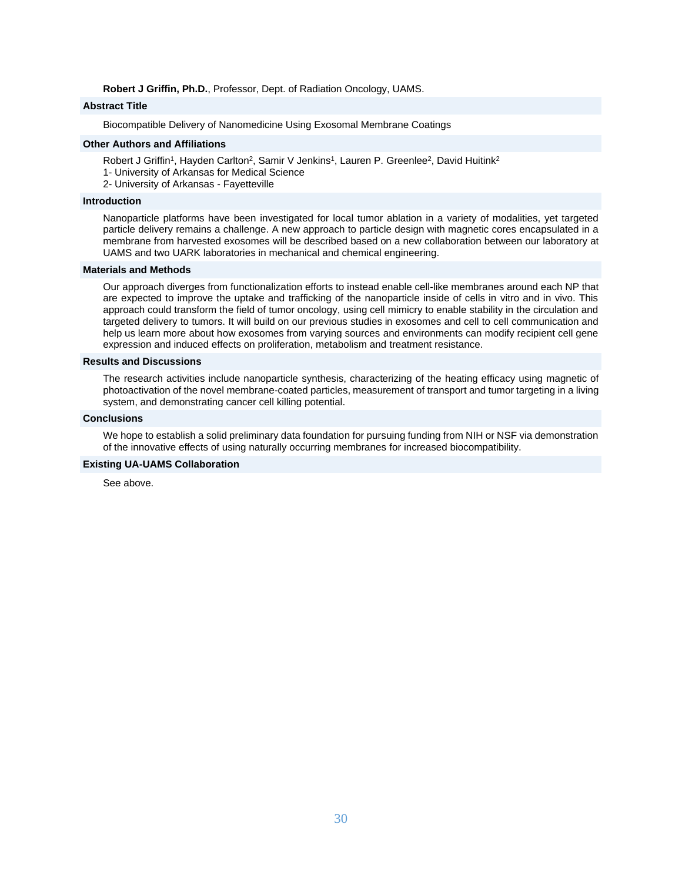**Robert J Griffin, Ph.D.**, Professor, Dept. of Radiation Oncology, UAMS.

# **Abstract Title**

Biocompatible Delivery of Nanomedicine Using Exosomal Membrane Coatings

# **Other Authors and Affiliations**

- Robert J Griffin<sup>1</sup>, Hayden Carlton<sup>2</sup>, Samir V Jenkins<sup>1</sup>, Lauren P. Greenlee<sup>2</sup>, David Huitink<sup>2</sup>
- 1- University of Arkansas for Medical Science
- 2- University of Arkansas Fayetteville

# **Introduction**

Nanoparticle platforms have been investigated for local tumor ablation in a variety of modalities, yet targeted particle delivery remains a challenge. A new approach to particle design with magnetic cores encapsulated in a membrane from harvested exosomes will be described based on a new collaboration between our laboratory at UAMS and two UARK laboratories in mechanical and chemical engineering.

#### **Materials and Methods**

Our approach diverges from functionalization efforts to instead enable cell-like membranes around each NP that are expected to improve the uptake and trafficking of the nanoparticle inside of cells in vitro and in vivo. This approach could transform the field of tumor oncology, using cell mimicry to enable stability in the circulation and targeted delivery to tumors. It will build on our previous studies in exosomes and cell to cell communication and help us learn more about how exosomes from varying sources and environments can modify recipient cell gene expression and induced effects on proliferation, metabolism and treatment resistance.

#### **Results and Discussions**

The research activities include nanoparticle synthesis, characterizing of the heating efficacy using magnetic of photoactivation of the novel membrane-coated particles, measurement of transport and tumor targeting in a living system, and demonstrating cancer cell killing potential.

## **Conclusions**

We hope to establish a solid preliminary data foundation for pursuing funding from NIH or NSF via demonstration of the innovative effects of using naturally occurring membranes for increased biocompatibility.

# **Existing UA-UAMS Collaboration**

See above.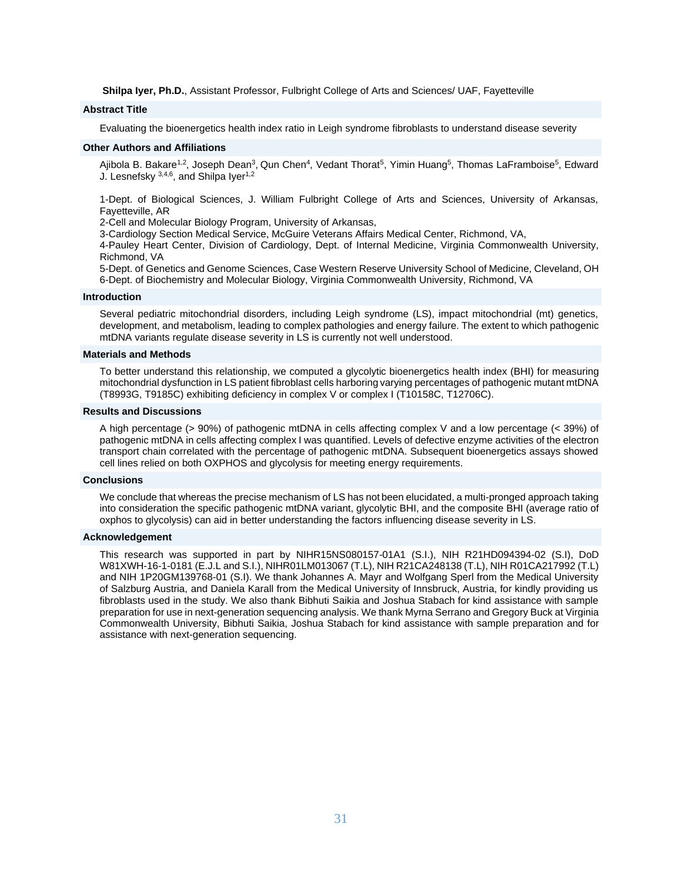**Shilpa Iyer, Ph.D.**, Assistant Professor, Fulbright College of Arts and Sciences/ UAF, Fayetteville

# **Abstract Title**

Evaluating the bioenergetics health index ratio in Leigh syndrome fibroblasts to understand disease severity

#### **Other Authors and Affiliations**

Ajibola B. Bakare<sup>1,2</sup>, Joseph Dean<sup>3</sup>, Qun Chen<sup>4</sup>, Vedant Thorat<sup>5</sup>, Yimin Huang<sup>5</sup>, Thomas LaFramboise<sup>5</sup>, Edward J. Lesnefsky 3,4,6, and Shilpa Iyer<sup>1,2</sup>

1-Dept. of Biological Sciences, J. William Fulbright College of Arts and Sciences, University of Arkansas, Fayetteville, AR

2-Cell and Molecular Biology Program, University of Arkansas,

3-Cardiology Section Medical Service, McGuire Veterans Affairs Medical Center, Richmond, VA,

4-Pauley Heart Center, Division of Cardiology, Dept. of Internal Medicine, Virginia Commonwealth University, Richmond, VA

5-Dept. of Genetics and Genome Sciences, Case Western Reserve University School of Medicine, Cleveland, OH 6-Dept. of Biochemistry and Molecular Biology, Virginia Commonwealth University, Richmond, VA

#### **Introduction**

Several pediatric mitochondrial disorders, including Leigh syndrome (LS), impact mitochondrial (mt) genetics, development, and metabolism, leading to complex pathologies and energy failure. The extent to which pathogenic mtDNA variants regulate disease severity in LS is currently not well understood.

#### **Materials and Methods**

To better understand this relationship, we computed a glycolytic bioenergetics health index (BHI) for measuring mitochondrial dysfunction in LS patient fibroblast cells harboring varying percentages of pathogenic mutant mtDNA (T8993G, T9185C) exhibiting deficiency in complex V or complex I (T10158C, T12706C).

#### **Results and Discussions**

A high percentage (> 90%) of pathogenic mtDNA in cells affecting complex V and a low percentage (< 39%) of pathogenic mtDNA in cells affecting complex I was quantified. Levels of defective enzyme activities of the electron transport chain correlated with the percentage of pathogenic mtDNA. Subsequent bioenergetics assays showed cell lines relied on both OXPHOS and glycolysis for meeting energy requirements.

## **Conclusions**

We conclude that whereas the precise mechanism of LS has not been elucidated, a multi-pronged approach taking into consideration the specific pathogenic mtDNA variant, glycolytic BHI, and the composite BHI (average ratio of oxphos to glycolysis) can aid in better understanding the factors influencing disease severity in LS.

# **Acknowledgement**

This research was supported in part by NIHR15NS080157-01A1 (S.I.), NIH R21HD094394-02 (S.I), DoD W81XWH-16-1-0181 (E.J.L and S.I.), NIHR01LM013067 (T.L), NIH R21CA248138 (T.L), NIH R01CA217992 (T.L) and NIH 1P20GM139768-01 (S.I). We thank Johannes A. Mayr and Wolfgang Sperl from the Medical University of Salzburg Austria, and Daniela Karall from the Medical University of Innsbruck, Austria, for kindly providing us fibroblasts used in the study. We also thank Bibhuti Saikia and Joshua Stabach for kind assistance with sample preparation for use in next-generation sequencing analysis. We thank Myrna Serrano and Gregory Buck at Virginia Commonwealth University, Bibhuti Saikia, Joshua Stabach for kind assistance with sample preparation and for assistance with next-generation sequencing.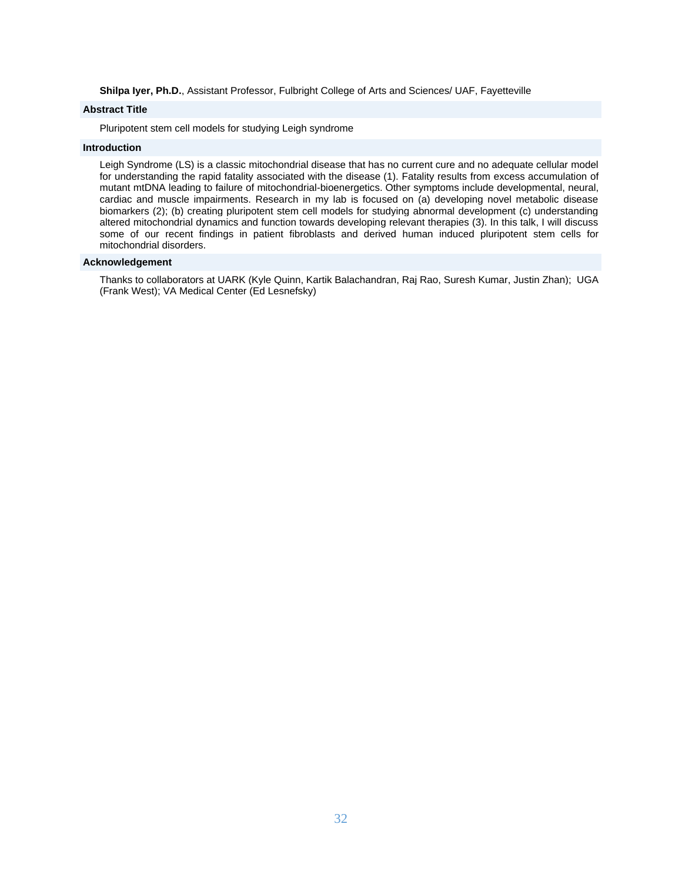**Shilpa Iyer, Ph.D.**, Assistant Professor, Fulbright College of Arts and Sciences/ UAF, Fayetteville

# **Abstract Title**

Pluripotent stem cell models for studying Leigh syndrome

# **Introduction**

Leigh Syndrome (LS) is a classic mitochondrial disease that has no current cure and no adequate cellular model for understanding the rapid fatality associated with the disease (1). Fatality results from excess accumulation of mutant mtDNA leading to failure of mitochondrial-bioenergetics. Other symptoms include developmental, neural, cardiac and muscle impairments. Research in my lab is focused on (a) developing novel metabolic disease biomarkers (2); (b) creating pluripotent stem cell models for studying abnormal development (c) understanding altered mitochondrial dynamics and function towards developing relevant therapies (3). In this talk, I will discuss some of our recent findings in patient fibroblasts and derived human induced pluripotent stem cells for mitochondrial disorders.

# **Acknowledgement**

Thanks to collaborators at UARK (Kyle Quinn, Kartik Balachandran, Raj Rao, Suresh Kumar, Justin Zhan); UGA (Frank West); VA Medical Center (Ed Lesnefsky)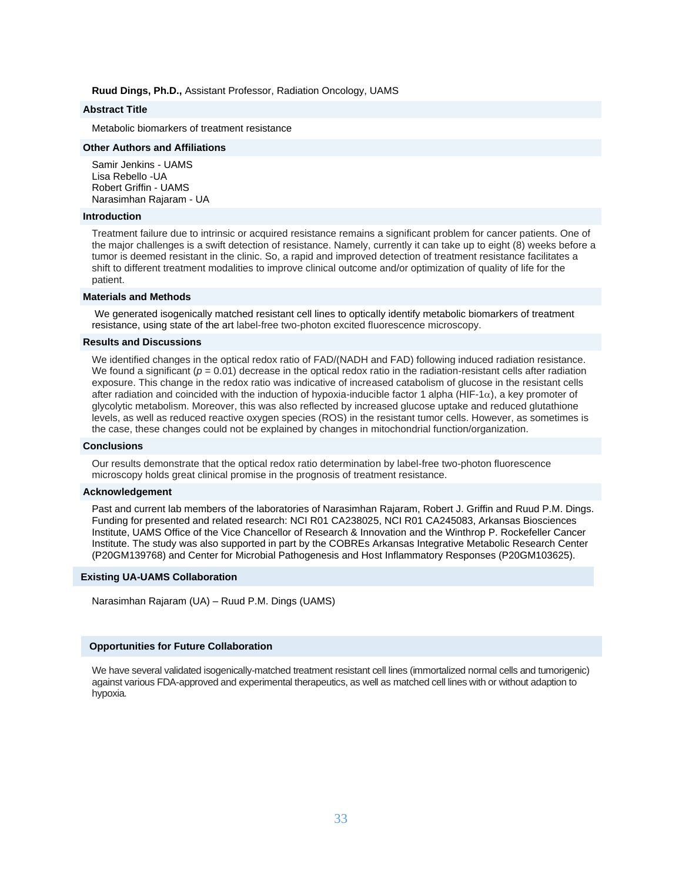#### **Ruud Dings, Ph.D.,** Assistant Professor, Radiation Oncology, UAMS

# **Abstract Title**

Metabolic biomarkers of treatment resistance

#### **Other Authors and Affiliations**

Samir Jenkins - UAMS Lisa Rebello -UA Robert Griffin - UAMS Narasimhan Rajaram - UA

#### **Introduction**

Treatment failure due to intrinsic or acquired resistance remains a significant problem for cancer patients. One of the major challenges is a swift detection of resistance. Namely, currently it can take up to eight (8) weeks before a tumor is deemed resistant in the clinic. So, a rapid and improved detection of treatment resistance facilitates a shift to different treatment modalities to improve clinical outcome and/or optimization of quality of life for the patient.

#### **Materials and Methods**

We generated isogenically matched resistant cell lines to optically identify metabolic biomarkers of treatment resistance, using state of the art label-free two-photon excited fluorescence microscopy.

#### **Results and Discussions**

We identified changes in the optical redox ratio of FAD/(NADH and FAD) following induced radiation resistance. We found a significant ( $p = 0.01$ ) decrease in the optical redox ratio in the radiation-resistant cells after radiation exposure. This change in the redox ratio was indicative of increased catabolism of glucose in the resistant cells after radiation and coincided with the induction of hypoxia-inducible factor 1 alpha (HIF-1 $\alpha$ ), a key promoter of glycolytic metabolism. Moreover, this was also reflected by increased glucose uptake and reduced glutathione levels, as well as reduced reactive oxygen species (ROS) in the resistant tumor cells. However, as sometimes is the case, these changes could not be explained by changes in mitochondrial function/organization.

#### **Conclusions**

Our results demonstrate that the optical redox ratio determination by label-free two-photon fluorescence microscopy holds great clinical promise in the prognosis of treatment resistance.

#### **Acknowledgement**

Past and current lab members of the laboratories of Narasimhan Rajaram, Robert J. Griffin and Ruud P.M. Dings. Funding for presented and related research: NCI R01 CA238025, NCI R01 CA245083, Arkansas Biosciences Institute, UAMS Office of the Vice Chancellor of Research & Innovation and the Winthrop P. Rockefeller Cancer Institute. The study was also supported in part by the COBREs Arkansas Integrative Metabolic Research Center (P20GM139768) and Center for Microbial Pathogenesis and Host Inflammatory Responses (P20GM103625).

#### **Existing UA-UAMS Collaboration**

Narasimhan Rajaram (UA) – Ruud P.M. Dings (UAMS)

#### **Opportunities for Future Collaboration**

We have several validated isogenically-matched treatment resistant cell lines (immortalized normal cells and tumorigenic) against various FDA-approved and experimental therapeutics, as well as matched cell lines with or without adaption to hypoxia.